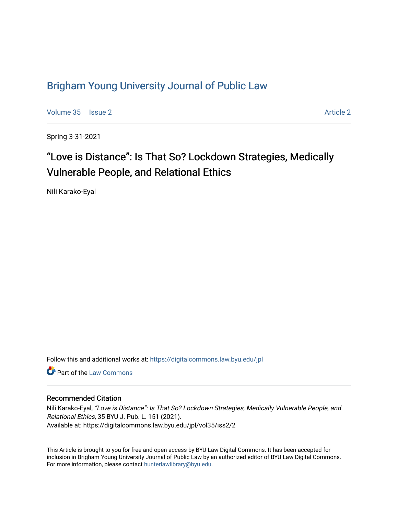# [Brigham Young University Journal of Public Law](https://digitalcommons.law.byu.edu/jpl)

[Volume 35](https://digitalcommons.law.byu.edu/jpl/vol35) | [Issue 2](https://digitalcommons.law.byu.edu/jpl/vol35/iss2) [Article 2](https://digitalcommons.law.byu.edu/jpl/vol35/iss2/2) Article 2 Article 2 Article 2 Article 2 Article 2 Article 2

Spring 3-31-2021

# "Love is Distance": Is That So? Lockdown Strategies, Medically Vulnerable People, and Relational Ethics

Nili Karako-Eyal

Follow this and additional works at: [https://digitalcommons.law.byu.edu/jpl](https://digitalcommons.law.byu.edu/jpl?utm_source=digitalcommons.law.byu.edu%2Fjpl%2Fvol35%2Fiss2%2F2&utm_medium=PDF&utm_campaign=PDFCoverPages) 

**C** Part of the [Law Commons](http://network.bepress.com/hgg/discipline/578?utm_source=digitalcommons.law.byu.edu%2Fjpl%2Fvol35%2Fiss2%2F2&utm_medium=PDF&utm_campaign=PDFCoverPages)

# Recommended Citation

Nili Karako-Eyal, "Love is Distance": Is That So? Lockdown Strategies, Medically Vulnerable People, and Relational Ethics, 35 BYU J. Pub. L. 151 (2021). Available at: https://digitalcommons.law.byu.edu/jpl/vol35/iss2/2

This Article is brought to you for free and open access by BYU Law Digital Commons. It has been accepted for inclusion in Brigham Young University Journal of Public Law by an authorized editor of BYU Law Digital Commons. For more information, please contact [hunterlawlibrary@byu.edu](mailto:hunterlawlibrary@byu.edu).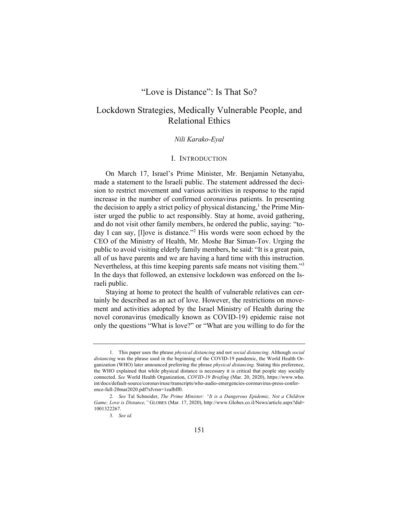# "Love is Distance": Is That So?

# Lockdown Strategies, Medically Vulnerable People, and Relational Ethics

### *Nili Karako-Eyal*

#### I. INTRODUCTION

On March 17, Israel's Prime Minister, Mr. Benjamin Netanyahu, made a statement to the Israeli public. The statement addressed the decision to restrict movement and various activities in response to the rapid increase in the number of confirmed coronavirus patients. In presenting the decision to apply a strict policy of physical distancing,<sup>1</sup> the Prime Minister urged the public to act responsibly. Stay at home, avoid gathering, and do not visit other family members, he ordered the public, saying: "today I can say, [l]ove is distance."<sup>2</sup> His words were soon echoed by the CEO of the Ministry of Health, Mr. Moshe Bar Siman-Tov. Urging the public to avoid visiting elderly family members, he said: "It is a great pain, all of us have parents and we are having a hard time with this instruction. Nevertheless, at this time keeping parents safe means not visiting them."<sup>3</sup> In the days that followed, an extensive lockdown was enforced on the Israeli public.

Staying at home to protect the health of vulnerable relatives can certainly be described as an act of love. However, the restrictions on movement and activities adopted by the Israel Ministry of Health during the novel coronavirus (medically known as COVID-19) epidemic raise not only the questions "What is love?" or "What are you willing to do for the

<sup>1.</sup> This paper uses the phrase *physical distancing* and not *social distancing*. Although *social distancing* was the phrase used in the beginning of the COVID-19 pandemic, the World Health Organization (WHO) later announced preferring the phrase *physical distancing*. Stating this preference, the WHO explained that while physical distance is necessary it is critical that people stay socially connected. *See* World Health Organization, *COVID-19 Briefing* (Mar. 20, 2020), https://www.who. int/docs/default-source/coronaviruse/transcripts/who-audio-emergencies-coronavirus-press-conference-full-20mar2020.pdf?sfvrsn=1eafbff0.

<sup>2.</sup> *See* Tal Schneider, *The Prime Minister: "It is a Dangerous Epidemic, Not a Children Game; Love is Distance,"* GLOBES (Mar. 17, 2020), http://www.Globes.co.il/News/article.aspx?did= 1001322267.

<sup>3.</sup> *See id.*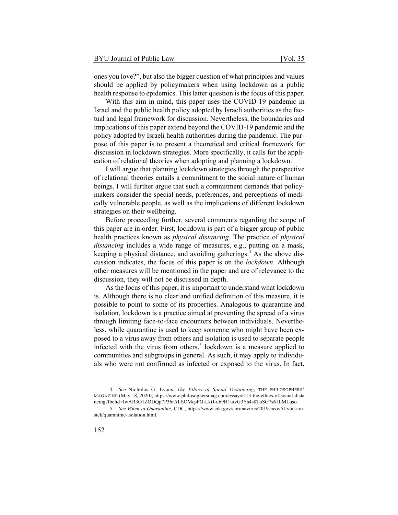ones you love?", but also the bigger question of what principles and values should be applied by policymakers when using lockdown as a public health response to epidemics. This latter question is the focus of this paper.

With this aim in mind, this paper uses the COVID-19 pandemic in Israel and the public health policy adopted by Israeli authorities as the factual and legal framework for discussion. Nevertheless, the boundaries and implications of this paper extend beyond the COVID-19 pandemic and the policy adopted by Israeli health authorities during the pandemic. The purpose of this paper is to present a theoretical and critical framework for discussion in lockdown strategies. More specifically, it calls for the application of relational theories when adopting and planning a lockdown.

I will argue that planning lockdown strategies through the perspective of relational theories entails a commitment to the social nature of human beings. I will further argue that such a commitment demands that policymakers consider the special needs, preferences, and perceptions of medically vulnerable people, as well as the implications of different lockdown strategies on their wellbeing.

Before proceeding further, several comments regarding the scope of this paper are in order. First, lockdown is part of a bigger group of public health practices known as *physical distancing*. The practice of *physical distancing* includes a wide range of measures, e.g., putting on a mask, keeping a physical distance, and avoiding gatherings.<sup>4</sup> As the above discussion indicates, the focus of this paper is on the *lockdown*. Although other measures will be mentioned in the paper and are of relevance to the discussion, they will not be discussed in depth.

As the focus of this paper, it is important to understand what lockdown is. Although there is no clear and unified definition of this measure, it is possible to point to some of its properties. Analogous to quarantine and isolation, lockdown is a practice aimed at preventing the spread of a virus through limiting face-to-face encounters between individuals. Nevertheless, while quarantine is used to keep someone who might have been exposed to a virus away from others and isolation is used to separate people infected with the virus from others,<sup>5</sup> lockdown is a measure applied to communities and subgroups in general. As such, it may apply to individuals who were not confirmed as infected or exposed to the virus. In fact,

<sup>4.</sup> *See* Nicholas G. Evans, *The Ethics of Social Distancing*, THE PHILOSOPHERS' MAGAZINE (May 18, 2020), https://www.philosophersmag.com/essays/213-the-ethics-of-social-dista ncing?fbclid=IwAR3O1ZODQp7P36rALSOMqsFO-LktJ-u69H1uivG3Ys4s8ToSG7s61LMLuso.

<sup>5.</sup> *See When to Quarantine*, CDC, https://www.cdc.gov/coronavirus/2019-ncov/if-you-aresick/quarantine-isolation.html.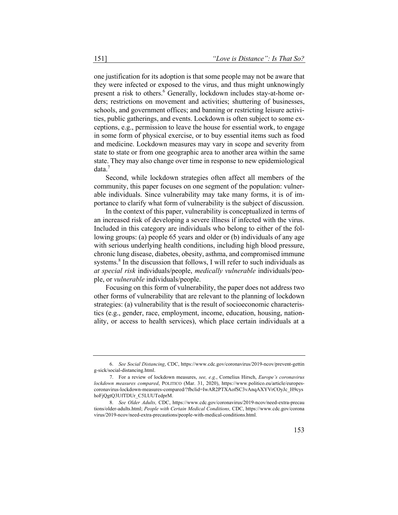one justification for its adoption is that some people may not be aware that they were infected or exposed to the virus, and thus might unknowingly present a risk to others.<sup>6</sup> Generally, lockdown includes stay-at-home orders; restrictions on movement and activities; shuttering of businesses, schools, and government offices; and banning or restricting leisure activities, public gatherings, and events. Lockdown is often subject to some exceptions, e.g., permission to leave the house for essential work, to engage in some form of physical exercise, or to buy essential items such as food and medicine. Lockdown measures may vary in scope and severity from state to state or from one geographic area to another area within the same state. They may also change over time in response to new epidemiological data.<sup>7</sup>

Second, while lockdown strategies often affect all members of the community, this paper focuses on one segment of the population: vulnerable individuals. Since vulnerability may take many forms, it is of importance to clarify what form of vulnerability is the subject of discussion.

In the context of this paper, vulnerability is conceptualized in terms of an increased risk of developing a severe illness if infected with the virus. Included in this category are individuals who belong to either of the following groups: (a) people 65 years and older or (b) individuals of any age with serious underlying health conditions, including high blood pressure, chronic lung disease, diabetes, obesity, asthma, and compromised immune systems. $8$  In the discussion that follows, I will refer to such individuals as *at special risk* individuals/people, *medically vulnerable* individuals/people, or *vulnerable* individuals/people.

Focusing on this form of vulnerability, the paper does not address two other forms of vulnerability that are relevant to the planning of lockdown strategies: (a) vulnerability that is the result of socioeconomic characteristics (e.g., gender, race, employment, income, education, housing, nationality, or access to health services), which place certain individuals at a

<sup>6.</sup> *See Social Distancing*, CDC, https://www.cdc.gov/coronavirus/2019-ncov/prevent-gettin g-sick/social-distancing.html.

<sup>7.</sup> For a review of lockdown measures, *see, e.g.*, Cornelius Hirsch, *Europe's coronavirus lockdown measures compared*, POLITICO (Mar. 31, 2020), https://www.politico.eu/article/europescoronavirus-lockdown-measures-compared/?fbclid=IwAR2PTXAofSC3vAnqAXYVrCOyJc\_H9cys hoFjQgtQ3UfTDUr\_C5LUUTedprM.

<sup>8.</sup> *See Older Adults,* CDC, https://www.cdc.gov/coronavirus/2019-ncov/need-extra-precau tions/older-adults.html; *People with Certain Medical Conditions,* CDC, https://www.cdc.gov/corona virus/2019-ncov/need-extra-precautions/people-with-medical-conditions.html.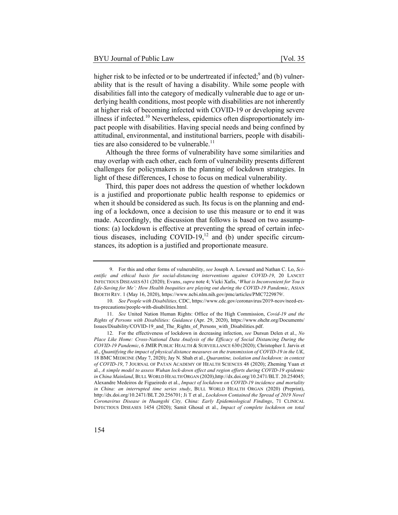higher risk to be infected or to be undertreated if infected; $9$  and (b) vulnerability that is the result of having a disability. While some people with disabilities fall into the category of medically vulnerable due to age or underlying health conditions, most people with disabilities are not inherently at higher risk of becoming infected with COVID-19 or developing severe illness if infected.<sup>10</sup> Nevertheless, epidemics often disproportionately impact people with disabilities. Having special needs and being confined by attitudinal, environmental, and institutional barriers, people with disabilities are also considered to be vulnerable.<sup>11</sup>

Although the three forms of vulnerability have some similarities and may overlap with each other, each form of vulnerability presents different challenges for policymakers in the planning of lockdown strategies. In light of these differences, I chose to focus on medical vulnerability.

Third, this paper does not address the question of whether lockdown is a justified and proportionate public health response to epidemics or when it should be considered as such. Its focus is on the planning and ending of a lockdown, once a decision to use this measure or to end it was made. Accordingly, the discussion that follows is based on two assumptions: (a) lockdown is effective at preventing the spread of certain infectious diseases, including  $COVID-19$ ,<sup>12</sup> and (b) under specific circumstances, its adoption is a justified and proportionate measure.

<sup>9.</sup> For this and other forms of vulnerability, *see* Joseph A. Lewnard and Nathan C. Lo, *Scientific and ethical basis for social-distancing interventions against COVID-19*, 20 LANCET INFECTIOUS DISEASES 631 (2020); Evans, *supra* note 4; Vicki Xafis, '*What is Inconvenient for You is Life-Saving for Me': How Health Inequities are playing out during the COVID-19 Pandemic*, ASIAN BIOETH REV. 1 (May 16, 2020), https://www.ncbi.nlm.nih.gov/pmc/articles/PMC7229879/.

<sup>10.</sup> *See People with Disabilities,* CDC, https://www.cdc.gov/coronavirus/2019-ncov/need-extra-precautions/people-with-disabilities.html.

<sup>11.</sup> *See* United Nation Human Rights: Office of the High Commission, *Covid-19 and the Rights of Persons with Disabilities: Guidance* (Apr. 29, 2020), https://www.ohchr.org/Documents/ Issues/Disability/COVID-19\_and\_The\_Rights\_of\_Persons\_with\_Disabilities.pdf.

<sup>12.</sup> For the effectiveness of lockdown in decreasing infection, *see* Dursun Delen et al., *No Place Like Home: Cross-National Data Analysis of the Efficacy of Social Distancing During the COVID-19 Pandemic*, 6 JMIR PUBLIC HEALTH & SURVEILLANCE 630 (2020); Christopher I. Jarvis et al., *Quantifying the impact of physical distance measures on the transmission of COVID-19 in the UK*, 18 BMC MEDICINE (May 7, 2020); Jay N. Shah et al., *Quarantine, isolation and lockdown: in context of COVID-19*, 7 JOURNAL OF PATAN ACADEMY OF HEALTH SCIENCES 48 (2020); Zheming Yuan et al., *A simple model to assess Wuhan lock-down effect and region efforts during COVID-19 epidemic in China Mainland*, BULL WORLD HEALTH ORGAN (2020),http://dx.doi.org/10.2471/BLT. 20.254045; Alexandre Medeiros de Figueiredo et al., *Impact of lockdown on COVID-19 incidence and mortality in China: an interrupted time series study*, BULL WORLD HEALTH ORGAN (2020) (Preprint), http://dx.doi.org/10.2471/BLT.20.256701; Ji T et al., *Lockdown Contained the Spread of 2019 Novel Coronavirus Disease in Huangshi City, China: Early Epidemiological Findings*, 71 CLINICAL INFECTIOUS DISEASES 1454 (2020); Samit Ghosal et al., *Impact of complete lockdown on total*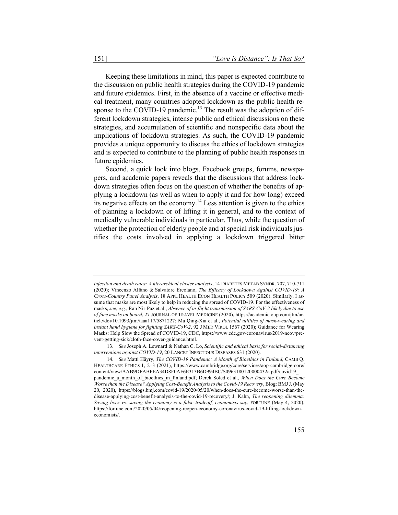Keeping these limitations in mind, this paper is expected contribute to the discussion on public health strategies during the COVID-19 pandemic and future epidemics. First, in the absence of a vaccine or effective medical treatment, many countries adopted lockdown as the public health response to the COVID-19 pandemic.<sup>13</sup> The result was the adoption of different lockdown strategies, intense public and ethical discussions on these strategies, and accumulation of scientific and nonspecific data about the implications of lockdown strategies. As such, the COVID-19 pandemic provides a unique opportunity to discuss the ethics of lockdown strategies and is expected to contribute to the planning of public health responses in future epidemics.

Second, a quick look into blogs, Facebook groups, forums, newspapers, and academic papers reveals that the discussions that address lockdown strategies often focus on the question of whether the benefits of applying a lockdown (as well as when to apply it and for how long) exceed its negative effects on the economy.<sup>14</sup> Less attention is given to the ethics of planning a lockdown or of lifting it in general, and to the context of medically vulnerable individuals in particular. Thus, while the question of whether the protection of elderly people and at special risk individuals justifies the costs involved in applying a lockdown triggered bitter

*infection and death rates: A hierarchical cluster analysis*, 14 DIABETES METAB SYNDR. 707, 710-711 (2020); Vincenzo Alfano & Salvatore Ercolano, *The Efficacy of Lockdown Against COVID-19: A Cross-Country Panel Analysis*, 18 APPL HEALTH ECON HEALTH POLICY 509 (2020). Similarly, I assume that masks are most likely to help in reducing the spread of COVID-19. For the effectiveness of masks, *see*, *e.g.*, Ran Nir-Paz et al., *Absence of in-flight transmission of SARS-CoV-2 likely due to use of face masks on board*, 27 JOURNAL OF TRAVEL MEDICINE (2020), https://academic.oup.com/jtm/article/doi/10.1093/jtm/taaa117/5871227; Ma Qing-Xia et al., *Potential utilities of mask-wearing and instant hand hygiene for fighting SARS-CoV-2*, 92 J MED VIROL 1567 (2020); Guidance for Wearing Masks: Help Slow the Spread of COVID-19, CDC, https://www.cdc.gov/coronavirus/2019-ncov/prevent-getting-sick/cloth-face-cover-guidance.html.

<sup>13.</sup> *See* Joseph A. Lewnard & Nathan C. Lo, *Scientific and ethical basis for social-distancing interventions against COVID-19*, 20 LANCET INFECTIOUS DISEASES 631 (2020).

<sup>14.</sup> *See* Matti Häyry, *The COVID-19 Pandemic: A Month of Bioethics in Finland,* CAMB Q. HEALTHCARE ETHICS 1, 2–3 (2021), https://www.cambridge.org/core/services/aop-cambridge-core/ content/view/AAB9DFABFEA34D8F0AF6E313B6D994BC/S0963180120000432a.pdf/covid19\_ pandemic a month of bioethics in finland.pdf; Derek Soled et al., *When Does the Cure Become Worse than the Disease? Applying Cost-Benefit Analysis to the Covid-19 Recovery*, Blog: BMJJ. (May 20, 2020), https://blogs.bmj.com/covid-19/2020/05/20/when-does-the-cure-become-worse-than-thedisease-applying-cost-benefit-analysis-to-the-covid-19-recovery/; J. Kahn, *The reopening dilemma: Saving lives vs. saving the economy is a false tradeoff, economists say*, FORTUNE (May 4, 2020), https://fortune.com/2020/05/04/reopening-reopen-economy-coronavirus-covid-19-lifting-lockdowneconomists/.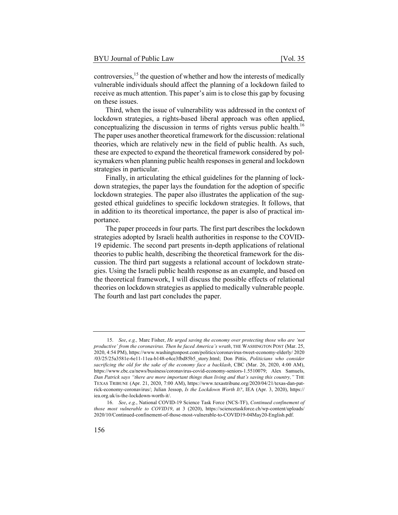controversies, $15$  the question of whether and how the interests of medically vulnerable individuals should affect the planning of a lockdown failed to receive as much attention. This paper's aim is to close this gap by focusing on these issues.

Third, when the issue of vulnerability was addressed in the context of lockdown strategies, a rights-based liberal approach was often applied, conceptualizing the discussion in terms of rights versus public health.<sup>16</sup> The paper uses another theoretical framework for the discussion: relational theories, which are relatively new in the field of public health. As such, these are expected to expand the theoretical framework considered by policymakers when planning public health responses in general and lockdown strategies in particular.

Finally, in articulating the ethical guidelines for the planning of lockdown strategies, the paper lays the foundation for the adoption of specific lockdown strategies. The paper also illustrates the application of the suggested ethical guidelines to specific lockdown strategies. It follows, that in addition to its theoretical importance, the paper is also of practical importance.

The paper proceeds in four parts. The first part describes the lockdown strategies adopted by Israeli health authorities in response to the COVID-19 epidemic. The second part presents in-depth applications of relational theories to public health, describing the theoretical framework for the discussion. The third part suggests a relational account of lockdown strategies. Using the Israeli public health response as an example, and based on the theoretical framework, I will discuss the possible effects of relational theories on lockdown strategies as applied to medically vulnerable people. The fourth and last part concludes the paper.

<sup>15.</sup> *See*, *e.g.,* Marc Fisher, *He urged saving the economy over protecting those who are 'not productive' from the coronavirus. Then he faced America's wrath*, THE WASHINGTON POST (Mar. 25, 2020, 4:54 PM), https://www.washingtonpost.com/politics/coronavirus-tweet-economy-elderly/ 2020 /03/25/25a3581e-6e11-11ea-b148-e4ce3fbd85b5\_story.html; Don Pittis, *Politicians who consider sacrificing the old for the sake of the economy face a backlash*, CBC (Mar. 26, 2020, 4:00 AM), https://www.cbc.ca/news/business/coronavirus-covid-economy-seniors-1.5510079; Alex Samuels, *Dan Patrick says "there are more important things than living and that's saving this country,"* THE TEXAS TRIBUNE (Apr. 21, 2020, 7:00 AM), https://www.texastribune.org/2020/04/21/texas-dan-patrick-economy-coronavirus/; Julian Jessop, *Is the Lockdown Worth It?*, IEA (Apr. 3, 2020), https:// iea.org.uk/is-the-lockdown-worth-it/.

<sup>16.</sup> *See*, *e.g.*, National COVID-19 Science Task Force (NCS-TF), *Continued confinement of those most vulnerable to COVID19*, at 3 (2020), https://sciencetaskforce.ch/wp-content/uploads/ 2020/10/Continued-confinement-of-those-most-vulnerable-to-COVID19-04May20-English.pdf.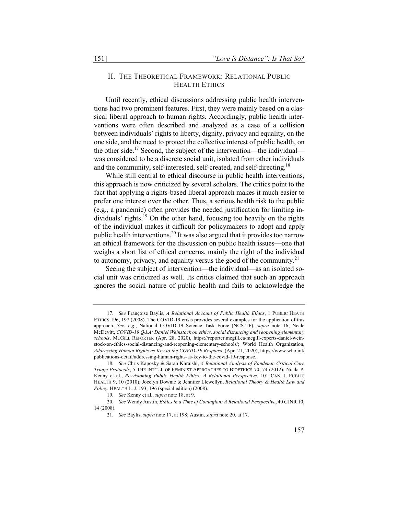# II. THE THEORETICAL FRAMEWORK: RELATIONAL PUBLIC HEALTH ETHICS

Until recently, ethical discussions addressing public health interventions had two prominent features. First, they were mainly based on a classical liberal approach to human rights. Accordingly, public health interventions were often described and analyzed as a case of a collision between individuals' rights to liberty, dignity, privacy and equality, on the one side, and the need to protect the collective interest of public health, on the other side.<sup>17</sup> Second, the subject of the intervention—the individual was considered to be a discrete social unit, isolated from other individuals and the community, self-interested, self-created, and self-directing.<sup>18</sup>

While still central to ethical discourse in public health interventions, this approach is now criticized by several scholars. The critics point to the fact that applying a rights-based liberal approach makes it much easier to prefer one interest over the other. Thus, a serious health risk to the public (e.g., a pandemic) often provides the needed justification for limiting individuals' rights.<sup>19</sup> On the other hand, focusing too heavily on the rights of the individual makes it difficult for policymakers to adopt and apply public health interventions.<sup>20</sup> It was also argued that it provides too narrow an ethical framework for the discussion on public health issues—one that weighs a short list of ethical concerns, mainly the right of the individual to autonomy, privacy, and equality versus the good of the community.<sup>21</sup>

Seeing the subject of intervention—the individual—as an isolated social unit was criticized as well. Its critics claimed that such an approach ignores the social nature of public health and fails to acknowledge the

<sup>17.</sup> *See* Françoise Baylis, *A Relational Account of Public Health Ethics*, 1 PUBLIC HEATH ETHICS 196, 197 (2008). The COVID-19 crisis provides several examples for the application of this approach. *See*, *e.g.*, National COVID-19 Science Task Force (NCS-TF), *supra* note 16; Neale McDevitt, *COVID-19 Q&A: Daniel Weinstock on ethics, social distancing and reopening elementary schools*, MCGILL REPORTER (Apr. 28, 2020), https://reporter.mcgill.ca/mcgill-experts-daniel-weinstock-on-ethics-social-distancing-and-reopening-elementary-schools/; World Health Organization, *Addressing Human Rights as Key to the COVID-19 Response* (Apr. 21, 2020), https://www.who.int/ publications-detail/addressing-human-rights-as-key-to-the-covid-19-response.

<sup>18.</sup> *See* Chris Kaposky & Sarah Khraishi, *A Relational Analysis of Pandemic Critical Care Triage Protocols*, 5 THE INT'L J. OF FEMINIST APPROACHES TO BIOETHICS 70, 74 (2012); Nuala P. Kenny et al., *Re-visioning Public Health Ethics: A Relational Perspective*, 101 CAN. J. PUBLIC HEALTH 9, 10 (2010); Jocelyn Downie & Jennifer Llewellyn, *Relational Theory & Health Law and Policy*, HEALTH L. J. 193, 196 (special edition) (2008).

<sup>19.</sup> *See* Kenny et al., *supra* note 18, at 9.

<sup>20.</sup> *See* Wendy Austin, *Ethics in a Time of Contagion: A Relational Perspective*, 40 CJNR 10, 14 (2008).

<sup>21.</sup> *See* Baylis, *supra* note 17, at 198; Austin, *supra* note 20, at 17.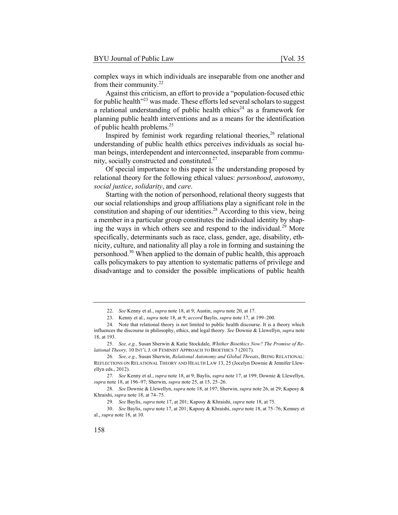complex ways in which individuals are inseparable from one another and from their community. $22$ 

Against this criticism, an effort to provide a "population-focused ethic for public health"<sup>23</sup> was made. These efforts led several scholars to suggest a relational understanding of public health ethics<sup>24</sup> as a framework for planning public health interventions and as a means for the identification of public health problems.25

Inspired by feminist work regarding relational theories,  $26$  relational understanding of public health ethics perceives individuals as social human beings, interdependent and interconnected, inseparable from community, socially constructed and constituted.27

Of special importance to this paper is the understanding proposed by relational theory for the following ethical values: *personhood*, *autonomy*, *social justice*, *solidarity*, and *care*.

Starting with the notion of personhood, relational theory suggests that our social relationships and group affiliations play a significant role in the constitution and shaping of our identities.<sup>28</sup> According to this view, being a member in a particular group constitutes the individual identity by shaping the ways in which others see and respond to the individual.<sup>29</sup> More specifically, determinants such as race, class, gender, age, disability, ethnicity, culture, and nationality all play a role in forming and sustaining the personhood.30 When applied to the domain of public health, this approach calls policymakers to pay attention to systematic patterns of privilege and disadvantage and to consider the possible implications of public health

<sup>22</sup>. *See* Kenny et al., *supra* note 18, at 9; Austin, *supra* note 20, at 17.

<sup>23.</sup> Kenny et al., *supra* note 18, at 9; *accord* Baylis, *supra* note 17, at 199–200.

<sup>24.</sup> Note that relational theory is not limited to public health discourse. It is a theory which influences the discourse in philosophy, ethics, and legal theory. *See* Downie & Llewellyn, *supra* note 18, at 193.

<sup>25.</sup> *See, e.g.,* Susan Sherwin & Katie Stockdale, *Whither Bioethics Now? The Promise of Relational Theory,* 10 INT'L J. OF FEMINIST APPROACH TO BIOETHICS 7 (2017).

<sup>26.</sup> *See, e.g.,* Susan Sherwin, *Relational Autonomy and Global Threats*, BEING RELATIONAL: REFLECTIONS ON RELATIONAL THEORY AND HEALTH LAW 13, 25 (Jocelyn Downie & Jennifer Llewellyn eds., 2012).

<sup>27.</sup> *See* Kenny et al., *supra* note 18, at 9; Baylis, *supra* note 17, at 199; Downie & Llewellyn, *supra* note 18, at 196–97; Sherwin, *supra* note 25, at 15, 25–26.

<sup>28.</sup> *See* Downie & Llewellyn, *supra* note 18, at 197; Sherwin, *supra* note 26, at 29; Kaposy & Khraishi, *supra* note 18, at 74–75.

<sup>29.</sup> *See* Baylis, *supra* note 17, at 201; Kaposy & Khraishi, *supra* note 18, at 75.

<sup>30.</sup> *See* Baylis, *supra* note 17, at 201; Kaposy & Khraishi, *supra* note 18, at 75–76; Kenney et al., *supra* note 18, at 10.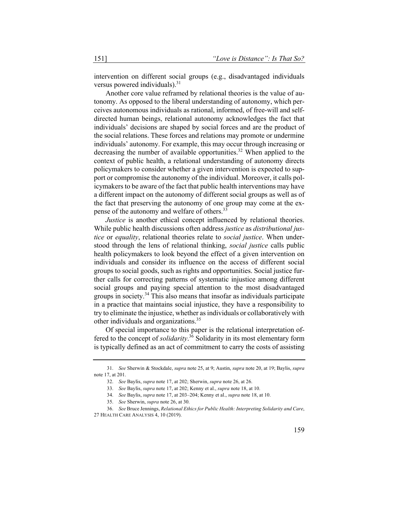intervention on different social groups (e.g., disadvantaged individuals versus powered individuals). $31$ 

Another core value reframed by relational theories is the value of autonomy. As opposed to the liberal understanding of autonomy, which perceives autonomous individuals as rational, informed, of free-will and selfdirected human beings, relational autonomy acknowledges the fact that individuals' decisions are shaped by social forces and are the product of the social relations. These forces and relations may promote or undermine individuals' autonomy. For example, this may occur through increasing or decreasing the number of available opportunities.<sup>32</sup> When applied to the context of public health, a relational understanding of autonomy directs policymakers to consider whether a given intervention is expected to support or compromise the autonomy of the individual. Moreover, it calls policymakers to be aware of the fact that public health interventions may have a different impact on the autonomy of different social groups as well as of the fact that preserving the autonomy of one group may come at the expense of the autonomy and welfare of others.<sup>33</sup>

*Justice* is another ethical concept influenced by relational theories. While public health discussions often address *justice* as *distributional justice* or *equality*, relational theories relate to *social justice*. When understood through the lens of relational thinking, *social justice* calls public health policymakers to look beyond the effect of a given intervention on individuals and consider its influence on the access of different social groups to social goods, such as rights and opportunities. Social justice further calls for correcting patterns of systematic injustice among different social groups and paying special attention to the most disadvantaged groups in society.<sup>34</sup> This also means that insofar as individuals participate in a practice that maintains social injustice, they have a responsibility to try to eliminate the injustice, whether as individuals or collaboratively with other individuals and organizations.<sup>35</sup>

Of special importance to this paper is the relational interpretation offered to the concept of *solidarity*. <sup>36</sup> Solidarity in its most elementary form is typically defined as an act of commitment to carry the costs of assisting

<sup>31.</sup> *See* Sherwin & Stockdale, *supra* note 25, at 9; Austin, *supra* note 20, at 19; Baylis, *supra* note 17, at 201.

<sup>32.</sup> *See* Baylis, *supra* note 17, at 202; Sherwin, *supra* note 26, at 26.

<sup>33.</sup> *See* Baylis, *supra* note 17, at 202; Kenny et al., *supra* note 18, at 10.

<sup>34.</sup> *See* Baylis, *supra* note 17, at 203–204; Kenny et al., *supra* note 18, at 10.

<sup>35.</sup> *See* Sherwin, *supra* note 26, at 30.

<sup>36.</sup> *See* Bruce Jennings, *Relational Ethics for Public Health: Interpreting Solidarity and Care*, 27 HEALTH CARE ANALYSIS 4, 10 (2019).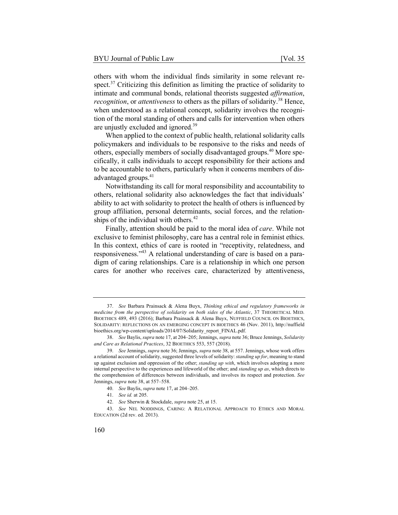others with whom the individual finds similarity in some relevant respect.<sup>37</sup> Criticizing this definition as limiting the practice of solidarity to intimate and communal bonds, relational theorists suggested *affirmation*, *recognition*, or *attentiveness* to others as the pillars of solidarity.<sup>38</sup> Hence, when understood as a relational concept, solidarity involves the recognition of the moral standing of others and calls for intervention when others are unjustly excluded and ignored.<sup>39</sup>

When applied to the context of public health, relational solidarity calls policymakers and individuals to be responsive to the risks and needs of others, especially members of socially disadvantaged groups.<sup>40</sup> More specifically, it calls individuals to accept responsibility for their actions and to be accountable to others, particularly when it concerns members of disadvantaged groups.<sup>41</sup>

Notwithstanding its call for moral responsibility and accountability to others, relational solidarity also acknowledges the fact that individuals' ability to act with solidarity to protect the health of others is influenced by group affiliation, personal determinants, social forces, and the relationships of the individual with others. $42$ 

Finally, attention should be paid to the moral idea of *care*. While not exclusive to feminist philosophy, care has a central role in feminist ethics. In this context, ethics of care is rooted in "receptivity, relatedness, and responsiveness."<sup>43</sup> A relational understanding of care is based on a paradigm of caring relationships. Care is a relationship in which one person cares for another who receives care, characterized by attentiveness,

42. *See* Sherwin & Stockdale, *supra* note 25, at 15.

43. *See* NEL NODDINGS, CARING: A RELATIONAL APPROACH TO ETHICS AND MORAL EDUCATION (2d rev. ed. 2013).

<sup>37.</sup> *See* Barbara Prainsack & Alena Buyx, *Thinking ethical and regulatory frameworks in medicine from the perspective of solidarity on both sides of the Atlantic*, 37 THEORETICAL MED. BIOETHICS 489, 493 (2016); Barbara Prainsack & Alena Buyx, NUFFIELD COUNCIL ON BIOETHICS, SOLIDARITY: REFLECTIONS ON AN EMERGING CONCEPT IN BIOETHICS 46 (Nov. 2011), http://nuffield bioethics.org/wp-content/uploads/2014/07/Solidarity\_report\_FINAL.pdf.

<sup>38.</sup> *See* Baylis, *supra* note 17, at 204–205; Jennings, *supra* note 36; Bruce Jennings, *Solidarity and Care as Relational Practices*, 32 BIOETHICS 553, 557 (2018).

<sup>39.</sup> *See* Jennings, *supra* note 36; Jennings, *supra* note 38, at 557. Jennings, whose work offers a relational account of solidarity, suggested three levels of solidarity: *standing up for*, meaning to stand up against exclusion and oppression of the other; *standing up with*, which involves adopting a more internal perspective to the experiences and lifeworld of the other; and *standing up as*, which directs to the comprehension of differences between individuals, and involves its respect and protection. *See* Jennings, *supra* note 38, at 557–558.

<sup>40.</sup> *See* Baylis, *supra* note 17, at 204–205.

<sup>41.</sup> *See id.* at 205.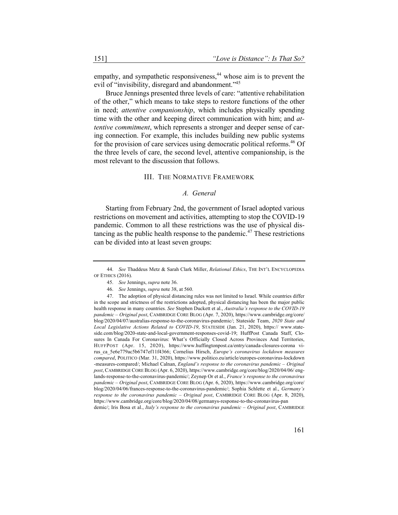empathy, and sympathetic responsiveness,<sup>44</sup> whose aim is to prevent the evil of "invisibility, disregard and abandonment."<sup>45</sup>

Bruce Jennings presented three levels of care: "attentive rehabilitation of the other," which means to take steps to restore functions of the other in need; *attentive companionship*, which includes physically spending time with the other and keeping direct communication with him; and *attentive commitment*, which represents a stronger and deeper sense of caring connection. For example, this includes building new public systems for the provision of care services using democratic political reforms.<sup>46</sup> Of the three levels of care, the second level, attentive companionship, is the most relevant to the discussion that follows.

#### III. THE NORMATIVE FRAMEWORK

# *A. General*

Starting from February 2nd, the government of Israel adopted various restrictions on movement and activities, attempting to stop the COVID-19 pandemic. Common to all these restrictions was the use of physical distancing as the public health response to the pandemic.<sup>47</sup> These restrictions can be divided into at least seven groups:

demic/; Iris Bosa et al., *Italy's response to the coronavirus pandemic – Original post*, CAMBRIDGE

<sup>44.</sup> *See* Thaddeus Metz & Sarah Clark Miller, *Relational Ethics*, THE INT'L ENCYCLOPEDIA OF ETHICS (2016).

<sup>45.</sup> *See* Jennings, *supra* note 36.

<sup>46.</sup> *See* Jennings, *supra* note 38, at 560.

<sup>47.</sup> The adoption of physical distancing rules was not limited to Israel. While countries differ in the scope and strictness of the restrictions adopted, physical distancing has been the major public health response in many countries. *See* Stephen Duckett et al., *Australia's response to the COVID-19 pandemic – Original post*, CAMBRIDGE CORE BLOG (Apr. 7, 2020), https://www.cambridge.org/core/ blog/2020/04/07/australias-response-to-the-coronavirus-pandemic/; Stateside Team, *2020 State and Local Legislative Actions Related to COVID-19*, STATESIDE (Jan. 21, 2020), https:// www.stateside.com/blog/2020-state-and-local-government-responses-covid-19; HuffPost Canada Staff, Closures In Canada For Coronavirus: What's Officially Closed Across Provinces And Territories, HUFFPOST (Apr. 15, 2020), https://www.huffingtonpost.ca/entry/canada-closures-corona virus\_ca\_5e6e779ac5b6747ef11f4366; Cornelius Hirsch, *Europe's coronavirus lockdown measures compared*, POLITICO (Mar. 31, 2020), https://www.politico.eu/article/europes-coronavirus-lockdown -measures-compared/; Michael Calnan, *England's response to the coronavirus pandemic – Original post*, CAMBRIDGE CORE BLOG (Apr. 6, 2020), https://www.cambridge.org/core/blog/2020/04/06/ englands-response-to-the-coronavirus-pandemic/; Zeynep Or et al., *France's response to the coronavirus pandemic – Original post*, CAMBRIDGE CORE BLOG (Apr. 6, 2020), https://www.cambridge.org/core/ blog/2020/04/06/frances-response-to-the-coronavirus-pandemic/; Sophia Schlette et al., *Germany's response to the coronavirus pandemic – Original post*, CAMBRIDGE CORE BLOG (Apr. 8, 2020), https://www.cambridge.org/core/blog/2020/04/08/germanys-response-to-the-coronavirus-pan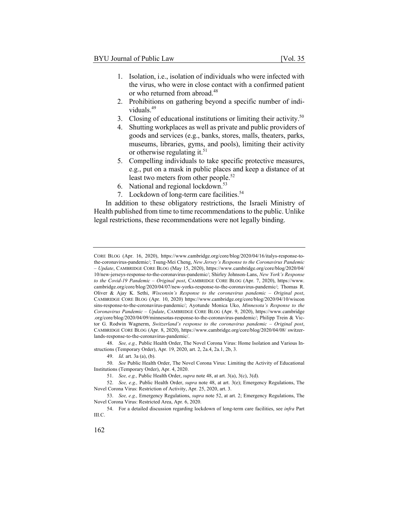- 1. Isolation, i.e., isolation of individuals who were infected with the virus, who were in close contact with a confirmed patient or who returned from abroad.<sup>48</sup>
- 2. Prohibitions on gathering beyond a specific number of individuals.<sup>49</sup>
- 3. Closing of educational institutions or limiting their activity.<sup>50</sup>
- 4. Shutting workplaces as well as private and public providers of goods and services (e.g., banks, stores, malls, theaters, parks, museums, libraries, gyms, and pools), limiting their activity or otherwise regulating it.<sup>51</sup>
- 5. Compelling individuals to take specific protective measures, e.g., put on a mask in public places and keep a distance of at least two meters from other people.<sup>52</sup>
- 6. National and regional lockdown.53
- 7. Lockdown of long-term care facilities.<sup>54</sup>

In addition to these obligatory restrictions, the Israeli Ministry of Health published from time to time recommendations to the public. Unlike legal restrictions, these recommendations were not legally binding.

CORE BLOG (Apr. 16, 2020), https://www.cambridge.org/core/blog/2020/04/16/italys-response-tothe-coronavirus-pandemic/; Tsung-Mei Cheng, *New Jersey's Response to the Coronavirus Pandemic – Update*, CAMBRIDGE CORE BLOG (May 15, 2020), https://www.cambridge.org/core/blog/2020/04/ 10/new-jerseys-response-to-the-coronavirus-pandemic/; Shirley Johnson-Lans, *New York's Response to the Covid-19 Pandemic – Original post*, CAMBRIDGE CORE BLOG (Apr. 7, 2020), https://www. cambridge.org/core/blog/2020/04/07/new-yorks-response-to-the-coronavirus-pandemic/; Thomas R. Oliver & Ajay K. Sethi, *Wisconsin's Response to the coronavirus pandemic – Original post*, CAMBRIDGE CORE BLOG (Apr. 10, 2020) https://www.cambridge.org/core/blog/2020/04/10/wiscon sins-response-to-the-coronavirus-pandemic/; Ayotunde Monica Uko, *Minnesota's Response to the Coronavirus Pandemic – Update*, CAMBRIDGE CORE BLOG (Apr. 9, 2020), https://www.cambridge .org/core/blog/2020/04/09/minnesotas-response-to-the-coronavirus-pandemic/; Philipp Trein & Victor G. Rodwin Wagnerm, *Switzerland's response to the coronavirus pandemic – Original post*, CAMBRIDGE CORE BLOG (Apr. 8, 2020), https://www.cambridge.org/core/blog/2020/04/08/ switzerlands-response-to-the-coronavirus-pandemic/.

<sup>48.</sup> *See, e.g.,* Public Health Order, The Novel Corona Virus: Home Isolation and Various Instructions (Temporary Order), Apr. 19, 2020, art. 2, 2a.4, 2a.1, 2b, 3.

<sup>49.</sup> *Id*. art. 3a (a), (b).

<sup>50.</sup> *See* Public Health Order, The Novel Corona Virus: Limiting the Activity of Educational Institutions (Temporary Order), Apr. 4, 2020.

<sup>51.</sup> *See, e.g.,* Public Health Order, *supra* note 48, at art. 3(a), 3(c), 3(d).

<sup>52.</sup> *See, e.g.,* Public Health Order, *supra* note 48, at art. 3(e); Emergency Regulations, The Novel Corona Virus: Restriction of Activity, Apr. 25, 2020, art. 3.

<sup>53.</sup> *See, e.g.,* Emergency Regulations, *supra* note 52, at art. 2; Emergency Regulations, The Novel Corona Virus: Restricted Area, Apr. 6, 2020.

<sup>54.</sup> For a detailed discussion regarding lockdown of long-term care facilities, see *infra* Part III.C.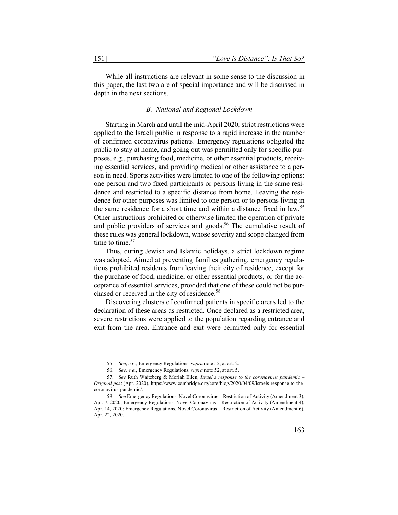While all instructions are relevant in some sense to the discussion in this paper, the last two are of special importance and will be discussed in depth in the next sections.

#### *B. National and Regional Lockdown*

Starting in March and until the mid-April 2020, strict restrictions were applied to the Israeli public in response to a rapid increase in the number of confirmed coronavirus patients. Emergency regulations obligated the public to stay at home, and going out was permitted only for specific purposes, e.g., purchasing food, medicine, or other essential products, receiving essential services, and providing medical or other assistance to a person in need. Sports activities were limited to one of the following options: one person and two fixed participants or persons living in the same residence and restricted to a specific distance from home. Leaving the residence for other purposes was limited to one person or to persons living in the same residence for a short time and within a distance fixed in law.<sup>55</sup> Other instructions prohibited or otherwise limited the operation of private and public providers of services and goods.<sup>56</sup> The cumulative result of these rules was general lockdown, whose severity and scope changed from time to time.<sup>57</sup>

Thus, during Jewish and Islamic holidays, a strict lockdown regime was adopted. Aimed at preventing families gathering, emergency regulations prohibited residents from leaving their city of residence, except for the purchase of food, medicine, or other essential products, or for the acceptance of essential services, provided that one of these could not be purchased or received in the city of residence.<sup>58</sup>

Discovering clusters of confirmed patients in specific areas led to the declaration of these areas as restricted. Once declared as a restricted area, severe restrictions were applied to the population regarding entrance and exit from the area. Entrance and exit were permitted only for essential

<sup>55.</sup> *See*, *e.g.,* Emergency Regulations, *supra* note 52, at art. 2.

<sup>56.</sup> *See, e.g.,* Emergency Regulations, *supra* note 52, at art. 5.

<sup>57.</sup> *See* Ruth Waitzberg & Moriah Ellen, *Israel's response to the coronavirus pandemic – Original post* (Apr. 2020), https://www.cambridge.org/core/blog/2020/04/09/israels-response-to-thecoronavirus-pandemic/.

<sup>58.</sup> *See* Emergency Regulations, Novel Coronavirus – Restriction of Activity (Amendment 3), Apr. 7, 2020; Emergency Regulations, Novel Coronavirus – Restriction of Activity (Amendment 4), Apr. 14, 2020; Emergency Regulations, Novel Coronavirus – Restriction of Activity (Amendment 6), Apr. 22, 2020.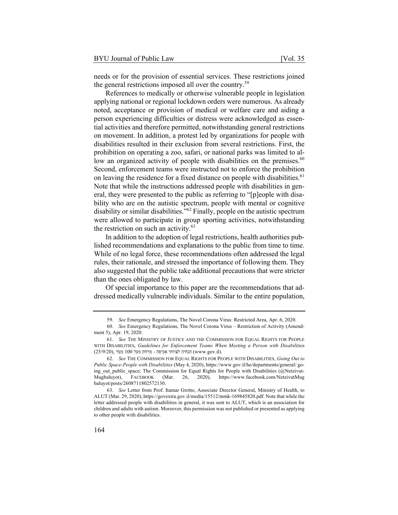needs or for the provision of essential services. These restrictions joined the general restrictions imposed all over the country.<sup>59</sup>

References to medically or otherwise vulnerable people in legislation applying national or regional lockdown orders were numerous. As already noted, acceptance or provision of medical or welfare care and aiding a person experiencing difficulties or distress were acknowledged as essential activities and therefore permitted, notwithstanding general restrictions on movement. In addition, a protest led by organizations for people with disabilities resulted in their exclusion from several restrictions. First, the prohibition on operating a zoo, safari, or national parks was limited to allow an organized activity of people with disabilities on the premises.<sup>60</sup> Second, enforcement teams were instructed not to enforce the prohibition on leaving the residence for a fixed distance on people with disabilities.<sup>61</sup> Note that while the instructions addressed people with disabilities in general, they were presented to the public as referring to "[p]eople with disability who are on the autistic spectrum, people with mental or cognitive disability or similar disabilities.<sup>"62</sup> Finally, people on the autistic spectrum were allowed to participate in group sporting activities, notwithstanding the restriction on such an activity.<sup>63</sup>

In addition to the adoption of legal restrictions, health authorities published recommendations and explanations to the public from time to time. While of no legal force, these recommendations often addressed the legal rules, their rationale, and stressed the importance of following them. They also suggested that the public take additional precautions that were stricter than the ones obligated by law.

Of special importance to this paper are the recommendations that addressed medically vulnerable individuals. Similar to the entire population,

<sup>59.</sup> *See* Emergency Regulations, The Novel Corona Virus: Restricted Area, Apr. 6, 2020.

<sup>60.</sup> *See* Emergency Regulations, The Novel Corona Virus – Restriction of Activity (Amendment 5), Apr. 19, 2020.

<sup>61.</sup> *See* THE MINISTRY OF JUSTICE AND THE COMMISSION FOR EQUAL RIGHTS FOR PEOPLE WITH DISABILITIES, *Guidelines for Enforcement Teams When Meeting a Person with Disabilitie*s  $(25/9/20)$ , הנחיה לצוותי אכיפה - מרחק מעל 100 מטר (www.gov.il).

<sup>62.</sup> *See* THE COMMISSION FOR EQUAL RIGHTS FOR PEOPLE WITH DISABILITIES, *Going Out to Public Space-People with Disabilities* (May 4, 2020), https://www.gov.il/he/departments/general/ going out public space; The Commission for Equal Rights for People with Disabilities (@Netzivut-Mugbaluyot), FACEBOOK (Mar. 26, 2020), https://www.facebook.com/NetzivutMug baluyot/posts/2608711802572130.

<sup>63.</sup> *See* Letter from Prof. Itamar Grotto, Associate Director General, Ministry of Health, to ALUT (Mar. 29, 2020), https://govextra.gov.il/media/15512/mmk-169845820.pdf. Note that while the letter addressed people with disabilities in general, it was sent to ALUT, which is an association for children and adults with autism. Moreover, this permission was not published or presented as applying to other people with disabilities.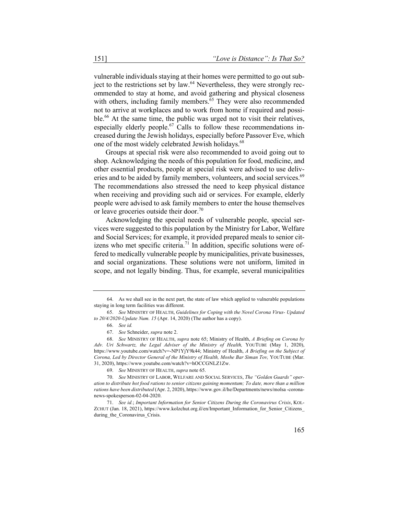vulnerable individuals staying at their homes were permitted to go out subject to the restrictions set by law.<sup>64</sup> Nevertheless, they were strongly recommended to stay at home, and avoid gathering and physical closeness with others, including family members. $65$  They were also recommended not to arrive at workplaces and to work from home if required and possible.<sup>66</sup> At the same time, the public was urged not to visit their relatives, especially elderly people.<sup>67</sup> Calls to follow these recommendations increased during the Jewish holidays, especially before Passover Eve, which one of the most widely celebrated Jewish holidays.<sup>68</sup>

Groups at special risk were also recommended to avoid going out to shop. Acknowledging the needs of this population for food, medicine, and other essential products, people at special risk were advised to use deliveries and to be aided by family members, volunteers, and social services.<sup>69</sup> The recommendations also stressed the need to keep physical distance when receiving and providing such aid or services. For example, elderly people were advised to ask family members to enter the house themselves or leave groceries outside their door.<sup>70</sup>

Acknowledging the special needs of vulnerable people, special services were suggested to this population by the Ministry for Labor, Welfare and Social Services; for example, it provided prepared meals to senior citizens who met specific criteria.<sup>71</sup> In addition, specific solutions were offered to medically vulnerable people by municipalities, private businesses, and social organizations. These solutions were not uniform, limited in scope, and not legally binding. Thus, for example, several municipalities

<sup>64.</sup> As we shall see in the next part, the state of law which applied to vulnerable populations staying in long term facilities was different.

<sup>65.</sup> *See* MINISTRY OF HEALTH, *Guidelines for Coping with the Novel Corona Virus- Updated to 20/4/2020-Update Num. 15* (Apr. 14, 2020) (The author has a copy).

<sup>66.</sup> *See id.*

<sup>67.</sup> *See* Schneider, *supra* note 2.

<sup>68.</sup> *See* MINISTRY OF HEALTH, *supra* note 65; Ministry of Health, *A Briefing on Corona by Adv. Uri Schwartz, the Legal Adviser of the Ministry of Health,* YOUTUBE (May 1, 2020), https://www.youtube.com/watch?v=-NP1YjY9k44; Ministry of Health, *A Briefing on the Subject of Corona, Led by Director General of the Ministry of Health, Moshe Bar Siman Tov,* YOUTUBE (Mar. 31, 2020), https://www.youtube.com/watch?v=hOCCGNLZ1Zw.

<sup>69.</sup> *See* MINISTRY OF HEALTH, *supra* note 65.

<sup>70.</sup> *See* MINISTRY OF LABOR, WELFARE AND SOCIAL SERVICES, *The "Golden Guards" operation to distribute hot food rations to senior citizens gaining momentum; To date, more than a million rations have been distributed* (Apr. 2, 2020), https://www.gov.il/he/Departments/news/molsa -coronanews-spokesperson-02-04-2020.

<sup>71.</sup> *See id.*; *Important Information for Senior Citizens During the Coronavirus Crisis*, KOL-ZCHUT (Jan. 18, 2021), https://www.kolzchut.org.il/en/Important\_Information\_for\_Senior\_Citizens\_ during\_the\_Coronavirus\_Crisis.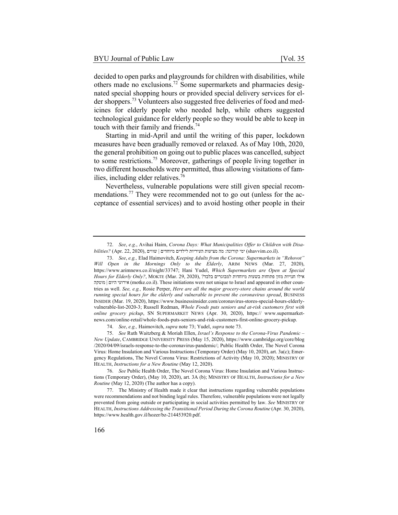decided to open parks and playgrounds for children with disabilities, while others made no exclusions.<sup>72</sup> Some supermarkets and pharmacies designated special shopping hours or provided special delivery services for elder shoppers.<sup>73</sup> Volunteers also suggested free deliveries of food and medicines for elderly people who needed help, while others suggested technological guidance for elderly people so they would be able to keep in touch with their family and friends.<sup>74</sup>

Starting in mid-April and until the writing of this paper, lockdown measures have been gradually removed or relaxed. As of May 10th, 2020, the general prohibition on going out to public places was cancelled, subject to some restrictions.<sup>75</sup> Moreover, gatherings of people living together in two different households were permitted, thus allowing visitations of families, including elder relatives.<sup>76</sup>

Nevertheless, vulnerable populations were still given special recommendations.<sup>77</sup> They were recommended not to go out (unless for the acceptance of essential services) and to avoid hosting other people in their

74. *See*, *e.g.,* Haimovitch, *supra* note 73; Yudel, *supra* note 73.

75. *See* Ruth Waitzberg & Moriah Ellen, *Israel's Response to the Corona-Virus Pandemic – New Update*, CAMBRIDGE UNIVERSITY PRESS (May 15, 2020), https://www.cambridge.org/core/blog /2020/04/09/israels-response-to-the-coronavirus-pandemic/; Public Health Order, The Novel Corona Virus: Home Insulation and Various Instructions (Temporary Order) (May 10, 2020), art. 3a(c); Emergency Regulations, The Novel Corona Virus: Restrictions of Activity (May 10, 2020); MINISTRY OF HEALTH, *Instructions for a New Routine* (May 12, 2020).

76. *See* Public Health Order, The Novel Corona Virus: Home Insulation and Various Instructions (Temporary Order), (May 10, 2020), art. 3A (b); MINISTRY OF HEALTH, *Instructions for a New Routine* (May 12, 2020) (The author has a copy).

77. The Ministry of Health made it clear that instructions regarding vulnerable populations were recommendations and not binding legal rules. Therefore, vulnerable populations were not legally prevented from going outside or participating in social activities permitted by law. *See* MINISTRY OF HEALTH, *Instructions Addressing the Transitional Period During the Corona Routine* (Apr. 30, 2020), https://www.health.gov.il/hozer/bz-214453920.pdf.

<sup>72.</sup> *See*, *e.g.*, Avihai Haim, *Corona Days: What Municipalities Offer to Children with Disa* $bilities?$  (Apr. 22, 2020), ימי קורונה: מה מציעות העיריות לילדים מיוחדים (shavvim.co.il).

<sup>73.</sup> *See*, *e.g.,* Elad Haimovitch, *Keeping Adults from the Corona: Supermarkets in "Rehovot" Will Open in the Mornings Only to the Elderly*, ARIM NEWS (Mar. 27, 2020), https://www.arimnews.co.il/night/33747; Hani Yudel, *Which Supermarkets are Open at Special*  ?דבלב םירגובמל תודחוימ תועשב תוחותפ ןוזמ תויונח וליא ,(2020 29, .Mar (MOKTE ,*?Only Elderly for Hours* יעוריא םויה | הקטומ) motke.co.il). These initiations were not unique to Israel and appeared in other countries as well. *See, e.g.,* Rosie Perper, *Here are all the major grocery-store chains around the world running special hours for the elderly and vulnerable to prevent the coronavirus spread*, BUSINESS INSIDER (Mar. 19, 2020), https://www.businessinsider.com/coronavirus-stores-special-hours-elderlyvulnerable-list-2020-3; Russell Redman, *Whole Foods puts seniors and at-risk customers first with online grocery pickup*, SN SUPERMARKET NEWS (Apr. 30, 2020), https:// www.supermarketnews.com/online-retail/whole-foods-puts-seniors-and-risk-customers-first-online-grocery-pickup.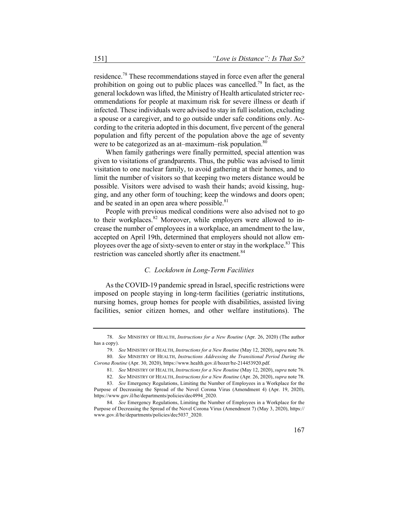residence.78 These recommendations stayed in force even after the general prohibition on going out to public places was cancelled.<sup>79</sup> In fact, as the general lockdown was lifted, the Ministry of Health articulated stricter recommendations for people at maximum risk for severe illness or death if infected. These individuals were advised to stay in full isolation, excluding a spouse or a caregiver, and to go outside under safe conditions only. According to the criteria adopted in this document, five percent of the general population and fifty percent of the population above the age of seventy were to be categorized as an at–maximum–risk population. $80$ 

When family gatherings were finally permitted, special attention was given to visitations of grandparents. Thus, the public was advised to limit visitation to one nuclear family, to avoid gathering at their homes, and to limit the number of visitors so that keeping two meters distance would be possible. Visitors were advised to wash their hands; avoid kissing, hugging, and any other form of touching; keep the windows and doors open; and be seated in an open area where possible. $81$ 

People with previous medical conditions were also advised not to go to their workplaces.<sup>82</sup> Moreover, while employers were allowed to increase the number of employees in a workplace, an amendment to the law, accepted on April 19th, determined that employers should not allow employees over the age of sixty-seven to enter or stay in the workplace.<sup>83</sup> This restriction was canceled shortly after its enactment.<sup>84</sup>

#### *C. Lockdown in Long-Term Facilities*

As the COVID-19 pandemic spread in Israel, specific restrictions were imposed on people staying in long-term facilities (geriatric institutions, nursing homes, group homes for people with disabilities, assisted living facilities, senior citizen homes, and other welfare institutions). The

<sup>78.</sup> *See* MINISTRY OF HEALTH, *Instructions for a New Routine* (Apr. 26, 2020) (The author has a copy).

<sup>79.</sup> *See* MINISTRY OF HEALTH, *Instructions for a New Routine* (May 12, 2020), *supra* note 76. 80. *See* MINISTRY OF HEALTH, *Instructions Addressing the Transitional Period During the Corona Routine* (Apr. 30, 2020), https://www.health.gov.il/hozer/bz-214453920.pdf.

<sup>81.</sup> *See* MINISTRY OF HEALTH, *Instructions for a New Routine* (May 12, 2020), *supra* note 76.

<sup>82.</sup> *See* MINISTRY OF HEALTH, *Instructions for a New Routine* (Apr. 26, 2020), *supra* note 78.

<sup>83.</sup> *See* Emergency Regulations, Limiting the Number of Employees in a Workplace for the

Purpose of Decreasing the Spread of the Novel Corona Virus (Amendment 4) (Apr. 19, 2020), https://www.gov.il/he/departments/policies/dec4994\_2020.

<sup>84.</sup> *See* Emergency Regulations, Limiting the Number of Employees in a Workplace for the Purpose of Decreasing the Spread of the Novel Corona Virus (Amendment 7) (May 3, 2020), https:// www.gov.il/he/departments/policies/dec5037\_2020.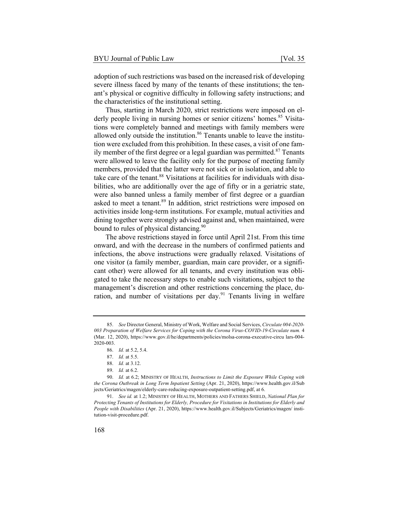adoption of such restrictions was based on the increased risk of developing severe illness faced by many of the tenants of these institutions; the tenant's physical or cognitive difficulty in following safety instructions; and the characteristics of the institutional setting.

Thus, starting in March 2020, strict restrictions were imposed on elderly people living in nursing homes or senior citizens' homes.<sup>85</sup> Visitations were completely banned and meetings with family members were allowed only outside the institution.<sup>86</sup> Tenants unable to leave the institution were excluded from this prohibition. In these cases, a visit of one family member of the first degree or a legal guardian was permitted.<sup>87</sup> Tenants were allowed to leave the facility only for the purpose of meeting family members, provided that the latter were not sick or in isolation, and able to take care of the tenant.<sup>88</sup> Visitations at facilities for individuals with disabilities, who are additionally over the age of fifty or in a geriatric state, were also banned unless a family member of first degree or a guardian asked to meet a tenant.<sup>89</sup> In addition, strict restrictions were imposed on activities inside long-term institutions. For example, mutual activities and dining together were strongly advised against and, when maintained, were bound to rules of physical distancing.<sup>90</sup>

The above restrictions stayed in force until April 21st. From this time onward, and with the decrease in the numbers of confirmed patients and infections, the above instructions were gradually relaxed. Visitations of one visitor (a family member, guardian, main care provider, or a significant other) were allowed for all tenants, and every institution was obligated to take the necessary steps to enable such visitations, subject to the management's discretion and other restrictions concerning the place, duration, and number of visitations per day.<sup>91</sup> Tenants living in welfare

89. *Id.* at 6.2.

<sup>85.</sup> *See* Director General, Ministry of Work, Welfare and Social Services, *Circulate 004-2020- 003 Preparation of Welfare Services for Coping with the Corona Virus-COVID-19-Circulate num.* 4 (Mar. 12, 2020), https://www.gov.il/he/departments/policies/molsa-corona-executive-circu lars-004- 2020-003.

<sup>86.</sup> *Id.* at 5.2, 5.4.

<sup>87.</sup> *Id.* at 5.5.

<sup>88.</sup> *Id.* at 3.12.

<sup>90.</sup> *Id.* at 6.2; MINISTRY OF HEALTH, *Instructions to Limit the Exposure While Coping with the Corona Outbreak in Long Term Inpatient Setting* (Apr. 21, 2020), https://www.health.gov.il/Sub jects/Geriatrics/magen/elderly-care-reducing-exposure-outpatient-setting.pdf, at 6.

<sup>91.</sup> *See id.* at 1.2; MINISTRY OF HEALTH, MOTHERS AND FATHERS SHIELD, *National Plan for Protecting Tenants of Institutions for Elderly, Procedure for Visitations in Institutions for Elderly and People with Disabilities* (Apr. 21, 2020), https://www.health.gov.il/Subjects/Geriatrics/magen/ institution-visit-procedure.pdf.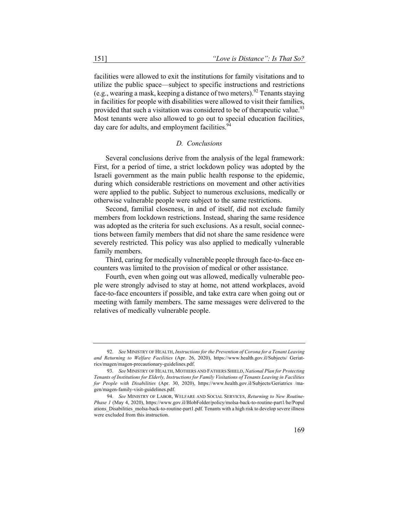facilities were allowed to exit the institutions for family visitations and to utilize the public space—subject to specific instructions and restrictions (e.g., wearing a mask, keeping a distance of two meters).<sup>92</sup> Tenants staying in facilities for people with disabilities were allowed to visit their families, provided that such a visitation was considered to be of therapeutic value.<sup>93</sup> Most tenants were also allowed to go out to special education facilities, day care for adults, and employment facilities.<sup>94</sup>

#### *D. Conclusions*

Several conclusions derive from the analysis of the legal framework: First, for a period of time, a strict lockdown policy was adopted by the Israeli government as the main public health response to the epidemic, during which considerable restrictions on movement and other activities were applied to the public. Subject to numerous exclusions, medically or otherwise vulnerable people were subject to the same restrictions.

Second, familial closeness, in and of itself, did not exclude family members from lockdown restrictions. Instead, sharing the same residence was adopted as the criteria for such exclusions. As a result, social connections between family members that did not share the same residence were severely restricted. This policy was also applied to medically vulnerable family members.

Third, caring for medically vulnerable people through face-to-face encounters was limited to the provision of medical or other assistance.

Fourth, even when going out was allowed, medically vulnerable people were strongly advised to stay at home, not attend workplaces, avoid face-to-face encounters if possible, and take extra care when going out or meeting with family members. The same messages were delivered to the relatives of medically vulnerable people.

<sup>92.</sup> *See* MINISTRY OF HEALTH, *Instructions for the Prevention of Corona for a Tenant Leaving and Returning to Welfare Facilities* (Apr. 26, 2020), https://www.health.gov.il/Subjects/ Geriatrics/magen/magen-precautionary-guidelines.pdf.

<sup>93.</sup> *See* MINISTRY OF HEALTH, MOTHERS AND FATHERS SHIELD, *National Plan for Protecting Tenants of Institutions for Elderly, Instructions for Family Visitations of Tenants Leaving in Facilities for People with Disabilities* (Apr. 30, 2020), https://www.health.gov.il/Subjects/Geriatrics /magen/magen-family-visit-guidelines.pdf.

<sup>94.</sup> *See* MINISTRY OF LABOR, WELFARE AND SOCIAL SERVICES, *Returning to New Routine-Phase 1* (May 4, 2020), https://www.gov.il/BlobFolder/policy/molsa-back-to-routine-part1/he/Popul ations Disabilities molsa-back-to-routine-part1.pdf. Tenants with a high risk to develop severe illness were excluded from this instruction.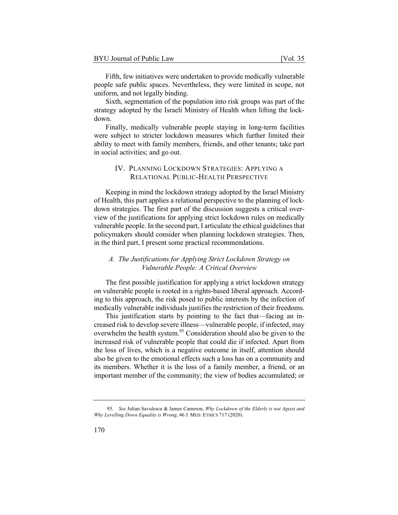| BYU Journal of Public Law | [Vol. 35] |  |
|---------------------------|-----------|--|
|---------------------------|-----------|--|

Fifth, few initiatives were undertaken to provide medically vulnerable people safe public spaces. Nevertheless, they were limited in scope, not uniform, and not legally binding.

Sixth, segmentation of the population into risk groups was part of the strategy adopted by the Israeli Ministry of Health when lifting the lockdown.

Finally, medically vulnerable people staying in long-term facilities were subject to stricter lockdown measures which further limited their ability to meet with family members, friends, and other tenants; take part in social activities; and go out.

# IV. PLANNING LOCKDOWN STRATEGIES: APPLYING A RELATIONAL PUBLIC-HEALTH PERSPECTIVE

Keeping in mind the lockdown strategy adopted by the Israel Ministry of Health, this part applies a relational perspective to the planning of lockdown strategies. The first part of the discussion suggests a critical overview of the justifications for applying strict lockdown rules on medically vulnerable people. In the second part, I articulate the ethical guidelines that policymakers should consider when planning lockdown strategies. Then, in the third part, I present some practical recommendations.

## *A. The Justifications for Applying Strict Lockdown Strategy on Vulnerable People: A Critical Overview*

The first possible justification for applying a strict lockdown strategy on vulnerable people is rooted in a rights-based liberal approach. According to this approach, the risk posed to public interests by the infection of medically vulnerable individuals justifies the restriction of their freedoms.

This justification starts by pointing to the fact that—facing an increased risk to develop severe illness—vulnerable people, if infected, may overwhelm the health system.<sup>95</sup> Consideration should also be given to the increased risk of vulnerable people that could die if infected. Apart from the loss of lives, which is a negative outcome in itself, attention should also be given to the emotional effects such a loss has on a community and its members. Whether it is the loss of a family member, a friend, or an important member of the community; the view of bodies accumulated; or

<sup>95.</sup> *See* Julian Savulescu & James Cameron, *Why Lockdown of the Elderly is not Ageist and Why Levelling Down Equality is Wrong*, 46 J. MED. ETHICS 717 (2020).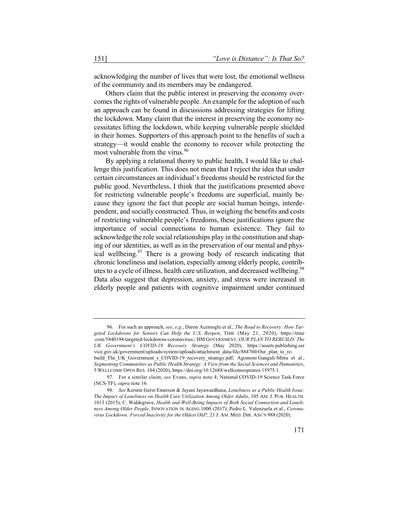acknowledging the number of lives that were lost, the emotional wellness of the community and its members may be endangered.

Others claim that the public interest in preserving the economy overcomes the rights of vulnerable people. An example for the adoption of such an approach can be found in discussions addressing strategies for lifting the lockdown. Many claim that the interest in preserving the economy necessitates lifting the lockdown, while keeping vulnerable people shielded in their homes. Supporters of this approach point to the benefits of such a strategy—it would enable the economy to recover while protecting the most vulnerable from the virus.<sup>96</sup>

By applying a relational theory to public health, I would like to challenge this justification. This does not mean that I reject the idea that under certain circumstances an individual's freedoms should be restricted for the public good. Nevertheless, I think that the justifications presented above for restricting vulnerable people's freedoms are superficial, mainly because they ignore the fact that people are social human beings, interdependent, and socially constructed. Thus, in weighing the benefits and costs of restricting vulnerable people's freedoms, these justifications ignore the importance of social connections to human existence. They fail to acknowledge the role social relationships play in the constitution and shaping of our identities, as well as in the preservation of our mental and physical wellbeing.  $97$  There is a growing body of research indicating that chronic loneliness and isolation, especially among elderly people, contributes to a cycle of illness, health care utilization, and decreased wellbeing.<sup>98</sup> Data also suggest that depression, anxiety, and stress were increased in elderly people and patients with cognitive impairment under continued

<sup>96.</sup> For such an approach, *see*, *e.g.*, Daron Acemoglu et al., *The Road to Recovery: How Targeted Lockdowns for Seniors Can Help the U.S. Reopen*, TIME (May 21, 2020), https://time .com/5840194/targeted-lockdowns-coronavirus/; HM GOVERNMENT, *OUR PLAN TO REBUILD: The UK Government's COVID-19 Recovery Strategy* (May 2020), https://assets.publishing.ser vice.gov.uk/government/uploads/system/uploads/attachment\_data/file/884760/Our\_plan\_to\_rebuild\_The\_UK\_Government\_s\_COVID-19\_recovery\_strategy.pdf; Agomoni Ganguli-Mitra et al., *Segmenting Communities as Public Health Strategy: A View from the Social Sciences and Humanities*, 5 WELLCOME OPEN RES. 104 (2020), https://doi.org/10.12688/wellcomeopenres.15975.1.

<sup>97.</sup> For a similar claim, *see* Evans, *supra* note 4; National COVID-19 Science Task Force (NCS-TF), *supra* note 16.

<sup>98.</sup> *See* Kerstin Gerst-Emerson & Jayani Jayawardhana, *Loneliness as a Public Health Issue: The Impact of Loneliness on Health Care Utilization Among Older Adults*, 105 AM. J. PUB. HEALTH. 1013 (2015); C. Waldegrave, *Health and Well-Being Impacts of Both Social Connection and Loneliness Among Older People*, INNOVATION IN AGING 1000 (2017); Pedro L. Valenzuela et al., *Coronavirus Lockdown: Forced Inactivity for the Oldest Old*?, 21 J. AM. MED. DIR. ASS'N 988 (2020).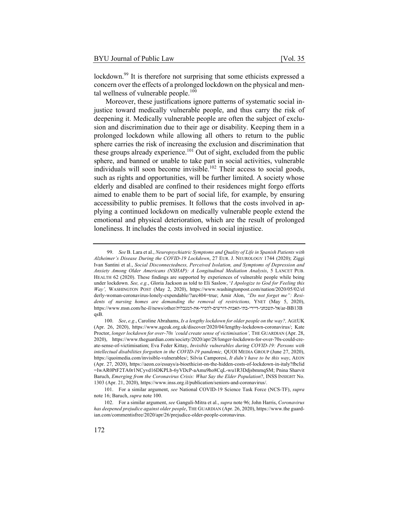lockdown.<sup>99</sup> It is therefore not surprising that some ethicists expressed a concern over the effects of a prolonged lockdown on the physical and mental wellness of vulnerable people.<sup>100</sup>

Moreover, these justifications ignore patterns of systematic social injustice toward medically vulnerable people, and thus carry the risk of deepening it. Medically vulnerable people are often the subject of exclusion and discrimination due to their age or disability. Keeping them in a prolonged lockdown while allowing all others to return to the public sphere carries the risk of increasing the exclusion and discrimination that these groups already experience.<sup>101</sup> Out of sight, excluded from the public sphere, and banned or unable to take part in social activities, vulnerable individuals will soon become invisible.<sup>102</sup> Their access to social goods, such as rights and opportunities, will be further limited. A society whose elderly and disabled are confined to their residences might forgo efforts aimed to enable them to be part of social life, for example, by ensuring accessibility to public premises. It follows that the costs involved in applying a continued lockdown on medically vulnerable people extend the emotional and physical deterioration, which are the result of prolonged loneliness. It includes the costs involved in social injustice.

<sup>99.</sup> *See* B. Lara et al., *Neuropsychiatric Symptoms and Quality of Life in Spanish Patients with Alzheimer's Disease During the COVID-19 Lockdown*, 27 EUR. J. NEUROLOGY 1744 (2020); Ziggi Ivan Santini et al., *Social Disconnectedness, Perceived Isolation, and Symptoms of Depression and Anxiety Among Older Americans (NSHAP): A Longitudinal Mediation Analysis*, 5 LANCET PUB. HEALTH 62 (2020). These findings are supported by experiences of vulnerable people while being under lockdown. *See, e.g.*, Gloria Jackson as told to Eli Saslow, '*I Apologize to God for Feeling this Way',* WASHINGTON POST (May 2, 2020), https://www.washingtonpost.com/nation/2020/05/02/el derly-woman-coronavirus-lonely-expendable/?arc404=true; Amir Alon, *"Do not forget me": Residents of nursing homes are demanding the removal of restrictions,* YNET (May 5, 2020), https://www.msn.com/he-il/news/other/<br/>ntextrand-dropsin-prince-ir-prince-in-prince-in-prince-inqsB.

<sup>100.</sup> *See*, *e.g*., Caroline Abrahams, *Is a lengthy lockdown for older people on the way?,* AGEUK (Apr. 26, 2020), https://www.ageuk.org.uk/discover/2020/04/lengthy-lockdown-coronavirus/; Kate Proctor, *longer lockdown for over-70s 'could create sense of victimisation',* THE GUARDIAN (Apr. 28, 2020), https://www.theguardian.com/society/2020/apr/28/longer-lockdown-for-over-70s-could-create-sense-of-victimisation; Eva Feder Kittay, *Invisible vulnerables during COVID-19: Persons with intellectual disabilities forgotten in the COVID-19 pandemic,* QUOI MEDIA GROUP (June 27, 2020), https://quoimedia.com/invisible-vulnerables/; Silvia Camporesi, *It didn't have to be this way*, AEON (Apr. 27, 2020), https://aeon.co/essays/a-bioethicist-on-the-hidden-costs-of-lockdown-in-italy?fbclid =IwAR0PtF2TA0r1NCyvd16DKPLb-6yVDcP-aAmu9ho8CqL-wu1R3DdjsbmmqSM; Pnina Sharvit Baruch, *Emerging from the Coronavirus Crisis: What Say the Elder Population*?, INSS INSIGHT No. 1303 (Apr. 21, 2020), https://www.inss.org.il/publication/seniors-and-coronavirus/.

<sup>101.</sup> For a similar argument, *see* National COVID-19 Science Task Force (NCS-TF), *supra* note 16; Baruch, *supra* note 100.

<sup>102.</sup> For a similar argument, *see* Ganguli-Mitra et al., *supra* note 96; John Harris, *Coronavirus has deepened prejudice against older people*, THE GUARDIAN (Apr. 26, 2020), https://www.the guardian.com/commentisfree/2020/apr/26/prejudice-older-people-coronavirus.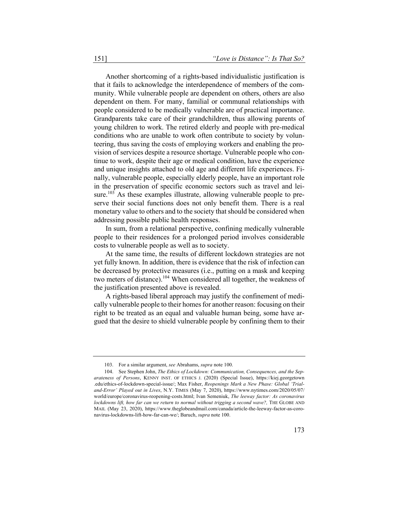Another shortcoming of a rights-based individualistic justification is that it fails to acknowledge the interdependence of members of the community. While vulnerable people are dependent on others, others are also dependent on them. For many, familial or communal relationships with people considered to be medically vulnerable are of practical importance. Grandparents take care of their grandchildren, thus allowing parents of young children to work. The retired elderly and people with pre-medical conditions who are unable to work often contribute to society by volunteering, thus saving the costs of employing workers and enabling the provision of services despite a resource shortage. Vulnerable people who continue to work, despite their age or medical condition, have the experience and unique insights attached to old age and different life experiences. Finally, vulnerable people, especially elderly people, have an important role in the preservation of specific economic sectors such as travel and leisure.<sup>103</sup> As these examples illustrate, allowing vulnerable people to preserve their social functions does not only benefit them. There is a real monetary value to others and to the society that should be considered when addressing possible public health responses.

In sum, from a relational perspective, confining medically vulnerable people to their residences for a prolonged period involves considerable costs to vulnerable people as well as to society.

At the same time, the results of different lockdown strategies are not yet fully known. In addition, there is evidence that the risk of infection can be decreased by protective measures (i.e., putting on a mask and keeping two meters of distance).<sup>104</sup> When considered all together, the weakness of the justification presented above is revealed.

A rights-based liberal approach may justify the confinement of medically vulnerable people to their homes for another reason: focusing on their right to be treated as an equal and valuable human being, some have argued that the desire to shield vulnerable people by confining them to their

<sup>103.</sup> For a similar argument, *see* Abrahams, *supra* note 100.

<sup>104.</sup> See Stephen John, *The Ethics of Lockdown: Communication, Consequences, and the Separateness of Persons*, KENNY INST. OF ETHICS J. (2020) (Special Issue), https://kiej.georgetown .edu/ethics-of-lockdown-special-issue/; Max Fisher, *Reopenings Mark a New Phase: Global 'Trialand-Error' Played out in Lives*, N.Y. TIMES (May 7, 2020), https://www.nytimes.com/2020/05/07/ world/europe/coronavirus-reopening-costs.html; Ivan Semeniuk, *The leeway factor: As coronavirus lockdowns lift, how far can we return to normal without trigging a second wave?,* THE GLOBE AND MAIL (May 23, 2020), https://www.theglobeandmail.com/canada/article-the-leeway-factor-as-coronavirus-lockdowns-lift-how-far-can-we/; Baruch, *supra* note 100.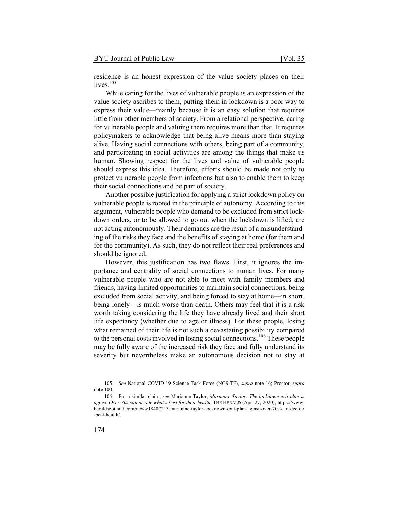residence is an honest expression of the value society places on their lives. $105$ 

While caring for the lives of vulnerable people is an expression of the value society ascribes to them, putting them in lockdown is a poor way to express their value—mainly because it is an easy solution that requires little from other members of society. From a relational perspective, caring for vulnerable people and valuing them requires more than that. It requires policymakers to acknowledge that being alive means more than staying alive. Having social connections with others, being part of a community, and participating in social activities are among the things that make us human. Showing respect for the lives and value of vulnerable people should express this idea. Therefore, efforts should be made not only to protect vulnerable people from infections but also to enable them to keep their social connections and be part of society.

Another possible justification for applying a strict lockdown policy on vulnerable people is rooted in the principle of autonomy. According to this argument, vulnerable people who demand to be excluded from strict lockdown orders, or to be allowed to go out when the lockdown is lifted, are not acting autonomously. Their demands are the result of a misunderstanding of the risks they face and the benefits of staying at home (for them and for the community). As such, they do not reflect their real preferences and should be ignored.

However, this justification has two flaws. First, it ignores the importance and centrality of social connections to human lives. For many vulnerable people who are not able to meet with family members and friends, having limited opportunities to maintain social connections, being excluded from social activity, and being forced to stay at home—in short, being lonely—is much worse than death. Others may feel that it is a risk worth taking considering the life they have already lived and their short life expectancy (whether due to age or illness). For these people, losing what remained of their life is not such a devastating possibility compared to the personal costs involved in losing social connections.<sup>106</sup> These people may be fully aware of the increased risk they face and fully understand its severity but nevertheless make an autonomous decision not to stay at

<sup>105.</sup> *See* National COVID-19 Science Task Force (NCS-TF), *supra* note 16; Proctor, *supra* note 100.

<sup>106.</sup> For a similar claim, *see* Marianne Taylor, *Marianne Taylor: The lockdown exit plan is ageist. Over-70s can decide what's best for their health*, THE HERALD (Apr. 27, 2020), https://www. heraldscotland.com/news/18407213.marianne-taylor-lockdown-exit-plan-ageist-over-70s-can-decide -best-health/.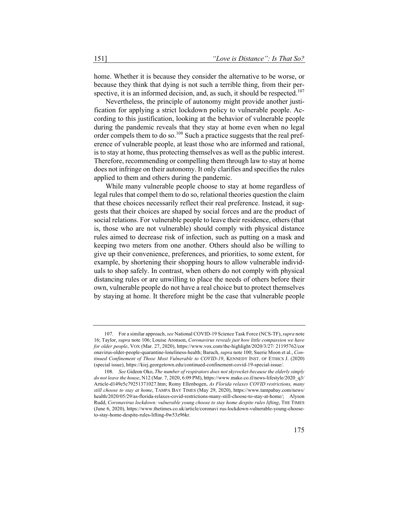home. Whether it is because they consider the alternative to be worse, or because they think that dying is not such a terrible thing, from their perspective, it is an informed decision, and, as such, it should be respected.<sup>107</sup>

Nevertheless, the principle of autonomy might provide another justification for applying a strict lockdown policy to vulnerable people. According to this justification, looking at the behavior of vulnerable people during the pandemic reveals that they stay at home even when no legal order compels them to do so.<sup>108</sup> Such a practice suggests that the real preference of vulnerable people, at least those who are informed and rational, is to stay at home, thus protecting themselves as well as the public interest. Therefore, recommending or compelling them through law to stay at home does not infringe on their autonomy. It only clarifies and specifies the rules applied to them and others during the pandemic.

While many vulnerable people choose to stay at home regardless of legal rules that compel them to do so, relational theories question the claim that these choices necessarily reflect their real preference. Instead, it suggests that their choices are shaped by social forces and are the product of social relations. For vulnerable people to leave their residence, others (that is, those who are not vulnerable) should comply with physical distance rules aimed to decrease risk of infection, such as putting on a mask and keeping two meters from one another. Others should also be willing to give up their convenience, preferences, and priorities, to some extent, for example, by shortening their shopping hours to allow vulnerable individuals to shop safely. In contrast, when others do not comply with physical distancing rules or are unwilling to place the needs of others before their own, vulnerable people do not have a real choice but to protect themselves by staying at home. It therefore might be the case that vulnerable people

<sup>107.</sup> For a similar approach, *see* National COVID-19 Science Task Force (NCS-TF), *supra* note 16; Taylor, *supra* note 106; Louise Aronson, *Coronavirus reveals just how little compassion we have for older people*, VOX (Mar. 27, 2020), https://www.vox.com/the-highlight/2020/3/27/ 21195762/cor onavirus-older-people-quarantine-loneliness-health; Baruch, *supra* note 100; Suerie Moon et al., *Continued Confinement of Those Most Vulnerable to COVID-19*, KENNEDY INST. OF ETHICS J. (2020) (special issue), https://kiej.georgetown.edu/continued-confinement-covid-19-special-issue/.

<sup>108.</sup> *See* Gideon Oko, *The number of respirators does not skyrocket-because the elderly simply do not leave the house*, N12 (Mar. 7, 2020, 6:09 PM), https://www.mako.co.il/news-lifestyle/2020\_q3/ Article-d149e5c79251371027.htm; Romy Ellenbogen, *As Florida relaxes COVID restrictions, many still choose to stay at home*, TAMPA BAY TIMES (May 29, 2020), https://www.tampabay.com/news/ health/2020/05/29/as-florida-relaxes-covid-restrictions-many-still-choose-to-stay-at-home/; Alyson Rudd, *Coronavirus lockdown: vulnerable young choose to stay home despite rules lifting*, THE TIMES (June 6, 2020), https://www.thetimes.co.uk/article/coronavi rus-lockdown-vulnerable-young-chooseto-stay-home-despite-rules-lifting-0w53z96kr.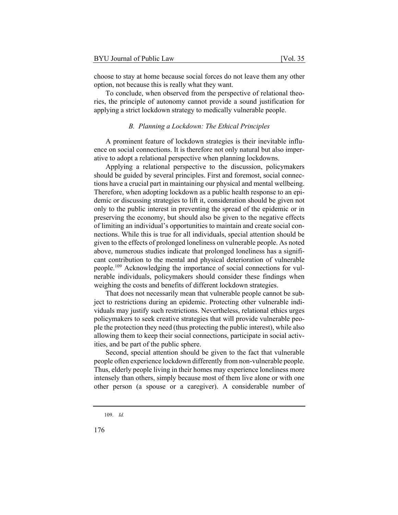choose to stay at home because social forces do not leave them any other option, not because this is really what they want.

To conclude, when observed from the perspective of relational theories, the principle of autonomy cannot provide a sound justification for applying a strict lockdown strategy to medically vulnerable people.

#### *B. Planning a Lockdown: The Ethical Principles*

A prominent feature of lockdown strategies is their inevitable influence on social connections. It is therefore not only natural but also imperative to adopt a relational perspective when planning lockdowns.

Applying a relational perspective to the discussion, policymakers should be guided by several principles. First and foremost, social connections have a crucial part in maintaining our physical and mental wellbeing. Therefore, when adopting lockdown as a public health response to an epidemic or discussing strategies to lift it, consideration should be given not only to the public interest in preventing the spread of the epidemic or in preserving the economy, but should also be given to the negative effects of limiting an individual's opportunities to maintain and create social connections. While this is true for all individuals, special attention should be given to the effects of prolonged loneliness on vulnerable people. As noted above, numerous studies indicate that prolonged loneliness has a significant contribution to the mental and physical deterioration of vulnerable people.<sup>109</sup> Acknowledging the importance of social connections for vulnerable individuals, policymakers should consider these findings when weighing the costs and benefits of different lockdown strategies.

That does not necessarily mean that vulnerable people cannot be subject to restrictions during an epidemic. Protecting other vulnerable individuals may justify such restrictions. Nevertheless, relational ethics urges policymakers to seek creative strategies that will provide vulnerable people the protection they need (thus protecting the public interest), while also allowing them to keep their social connections, participate in social activities, and be part of the public sphere.

Second, special attention should be given to the fact that vulnerable people often experience lockdown differently from non-vulnerable people. Thus, elderly people living in their homes may experience loneliness more intensely than others, simply because most of them live alone or with one other person (a spouse or a caregiver). A considerable number of

<sup>109.</sup> *Id.*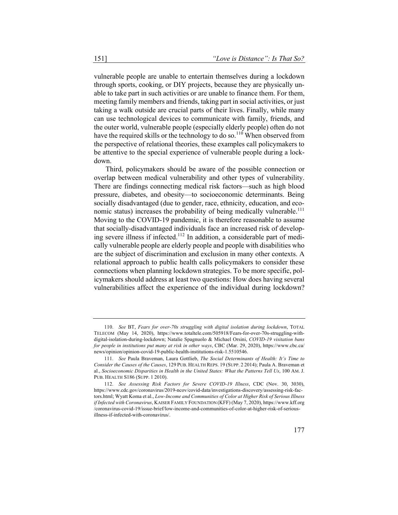vulnerable people are unable to entertain themselves during a lockdown through sports, cooking, or DIY projects, because they are physically unable to take part in such activities or are unable to finance them. For them, meeting family members and friends, taking part in social activities, or just taking a walk outside are crucial parts of their lives. Finally, while many can use technological devices to communicate with family, friends, and the outer world, vulnerable people (especially elderly people) often do not have the required skills or the technology to do so.<sup>110</sup> When observed from the perspective of relational theories, these examples call policymakers to be attentive to the special experience of vulnerable people during a lockdown.

Third, policymakers should be aware of the possible connection or overlap between medical vulnerability and other types of vulnerability. There are findings connecting medical risk factors—such as high blood pressure, diabetes, and obesity—to socioeconomic determinants. Being socially disadvantaged (due to gender, race, ethnicity, education, and economic status) increases the probability of being medically vulnerable.<sup>111</sup> Moving to the COVID-19 pandemic, it is therefore reasonable to assume that socially-disadvantaged individuals face an increased risk of developing severe illness if infected.<sup>112</sup> In addition, a considerable part of medically vulnerable people are elderly people and people with disabilities who are the subject of discrimination and exclusion in many other contexts. A relational approach to public health calls policymakers to consider these connections when planning lockdown strategies. To be more specific, policymakers should address at least two questions: How does having several vulnerabilities affect the experience of the individual during lockdown?

<sup>110.</sup> *See* BT, *Fears for over-70s struggling with digital isolation during lockdown*, TOTAL TELECOM (May 14, 2020), https://www.totaltele.com/505918/Fears-for-over-70s-struggling-withdigital-isolation-during-lockdown; Natalie Spagnuolo & Michael Orsini, *COVID-19 visitation bans for people in institutions put many at risk in other ways*, CBC (Mar. 29, 2020), https://www.cbc.ca/ news/opinion/opinion-covid-19-public-health-institutions-risk-1.5510546.

<sup>111.</sup> *See* Paula Braveman, Laura Gottlieb, *The Social Determinants of Health: It's Time to Consider the Causes of the Causes*, 129 PUB. HEALTH REPS. 19 (SUPP. 2 2014); Paula A. Braveman et al., *Socioeconomic Disparities in Health in the United States: What the Patterns Tell Us*, 100 AM. J. PUB. HEALTH S186 (SUPP. 1 2010).

<sup>112.</sup> *See Assessing Risk Factors for Severe COVID-19 Illness*, CDC (Nov. 30, 3030), https://www.cdc.gov/coronavirus/2019-ncov/covid-data/investigations-discovery/assessing-risk-factors.html; Wyatt Koma et al., *Low-Income and Communities of Color at Higher Risk of Serious Illness if Infected with Coronavirus*, KAISER FAMILY FOUNDATION (KFF) (May 7, 2020), https://www.kff.org /coronavirus-covid-19/issue-brief/low-income-and-communities-of-color-at-higher-risk-of-seriousillness-if-infected-with-coronavirus/.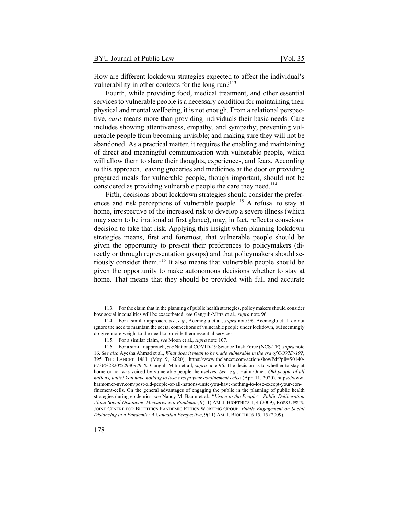How are different lockdown strategies expected to affect the individual's vulnerability in other contexts for the long run? $113$ 

Fourth, while providing food, medical treatment, and other essential services to vulnerable people is a necessary condition for maintaining their physical and mental wellbeing, it is not enough. From a relational perspective, *care* means more than providing individuals their basic needs. Care includes showing attentiveness, empathy, and sympathy; preventing vulnerable people from becoming invisible; and making sure they will not be abandoned. As a practical matter, it requires the enabling and maintaining of direct and meaningful communication with vulnerable people, which will allow them to share their thoughts, experiences, and fears. According to this approach, leaving groceries and medicines at the door or providing prepared meals for vulnerable people, though important, should not be considered as providing vulnerable people the care they need.<sup>114</sup>

Fifth, decisions about lockdown strategies should consider the preferences and risk perceptions of vulnerable people.<sup>115</sup> A refusal to stay at home, irrespective of the increased risk to develop a severe illness (which may seem to be irrational at first glance), may, in fact, reflect a conscious decision to take that risk. Applying this insight when planning lockdown strategies means, first and foremost, that vulnerable people should be given the opportunity to present their preferences to policymakers (directly or through representation groups) and that policymakers should seriously consider them.<sup>116</sup> It also means that vulnerable people should be given the opportunity to make autonomous decisions whether to stay at home. That means that they should be provided with full and accurate

<sup>113.</sup> For the claim that in the planning of public health strategies, policy makers should consider how social inequalities will be exacerbated, *see* Ganguli-Mitra et al., *supra* note 96.

<sup>114.</sup> For a similar approach, *see*, *e.g.*, Acemoglu et al., *supra* note 96. Acemoglu et al. do not ignore the need to maintain the social connections of vulnerable people under lockdown, but seemingly do give more weight to the need to provide them essential services.

<sup>115.</sup> For a similar claim, *see* Moon et al., *supra* note 107.

<sup>116.</sup> For a similar approach, *see* National COVID-19 Science Task Force (NCS-TF), *supra* note 16. *See also* Ayesha Ahmad et al., *What does it mean to be made vulnerable in the era of COVID-19?*, 395 THE LANCET 1481 (May 9, 2020), https://www.thelancet.com/action/showPdf?pii=S0140- 6736%2820%2930979-X; Ganguli-Mitra et all, *supra* note 96. The decision as to whether to stay at home or not was voiced by vulnerable people themselves. *See*, *e.g.*, Haim Omer, *Old people of all nations, unite! You have nothing to lose except your confinement cells!* (Apr. 11, 2020), https://www. haimomer-nvr.com/post/old-people-of-all-nations-unite-you-have-nothing-to-lose-except-your-confinement-cells. On the general advantages of engaging the public in the planning of public health strategies during epidemics, *see* Nancy M. Baum et al., "*Listen to the People": Public Deliberation About Social Distancing Measures in a Pandemic*, 9(11) AM. J. BIOETHICS 4, 4 (2009); ROSS UPSUR, JOINT CENTRE FOR BIOETHICS PANDEMIC ETHICS WORKING GROUP, *Public Engagement on Social Distancing in a Pandemic: A Canadian Perspective*, 9(11) AM. J. BIOETHICS 15, 15 (2009).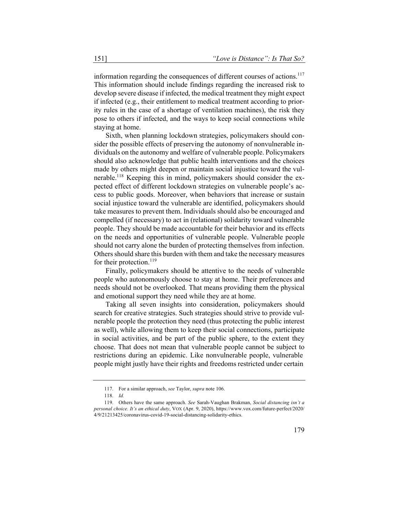information regarding the consequences of different courses of actions.<sup>117</sup> This information should include findings regarding the increased risk to develop severe disease if infected, the medical treatment they might expect if infected (e.g., their entitlement to medical treatment according to priority rules in the case of a shortage of ventilation machines), the risk they pose to others if infected, and the ways to keep social connections while staying at home.

Sixth, when planning lockdown strategies, policymakers should consider the possible effects of preserving the autonomy of nonvulnerable individuals on the autonomy and welfare of vulnerable people. Policymakers should also acknowledge that public health interventions and the choices made by others might deepen or maintain social injustice toward the vulnerable.118 Keeping this in mind, policymakers should consider the expected effect of different lockdown strategies on vulnerable people's access to public goods. Moreover, when behaviors that increase or sustain social injustice toward the vulnerable are identified, policymakers should take measures to prevent them. Individuals should also be encouraged and compelled (if necessary) to act in (relational) solidarity toward vulnerable people. They should be made accountable for their behavior and its effects on the needs and opportunities of vulnerable people. Vulnerable people should not carry alone the burden of protecting themselves from infection. Others should share this burden with them and take the necessary measures for their protection.<sup>119</sup>

Finally, policymakers should be attentive to the needs of vulnerable people who autonomously choose to stay at home. Their preferences and needs should not be overlooked. That means providing them the physical and emotional support they need while they are at home.

Taking all seven insights into consideration, policymakers should search for creative strategies. Such strategies should strive to provide vulnerable people the protection they need (thus protecting the public interest as well), while allowing them to keep their social connections, participate in social activities, and be part of the public sphere, to the extent they choose. That does not mean that vulnerable people cannot be subject to restrictions during an epidemic. Like nonvulnerable people, vulnerable people might justly have their rights and freedoms restricted under certain

<sup>117.</sup> For a similar approach, *see* Taylor, *supra* note 106.

<sup>118.</sup> *Id.*

<sup>119.</sup> Others have the same approach. *See* Sarah-Vaughan Brakman, *Social distancing isn't a personal choice. It's an ethical duty*, VOX (Apr. 9, 2020), https://www.vox.com/future-perfect/2020/ 4/9/21213425/coronavirus-covid-19-social-distancing-solidarity-ethics.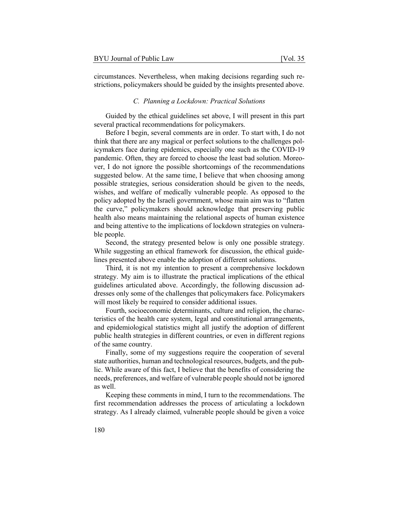circumstances. Nevertheless, when making decisions regarding such restrictions, policymakers should be guided by the insights presented above.

#### *C. Planning a Lockdown: Practical Solutions*

Guided by the ethical guidelines set above, I will present in this part several practical recommendations for policymakers.

Before I begin, several comments are in order. To start with, I do not think that there are any magical or perfect solutions to the challenges policymakers face during epidemics, especially one such as the COVID-19 pandemic. Often, they are forced to choose the least bad solution. Moreover, I do not ignore the possible shortcomings of the recommendations suggested below. At the same time, I believe that when choosing among possible strategies, serious consideration should be given to the needs, wishes, and welfare of medically vulnerable people. As opposed to the policy adopted by the Israeli government, whose main aim was to "flatten the curve," policymakers should acknowledge that preserving public health also means maintaining the relational aspects of human existence and being attentive to the implications of lockdown strategies on vulnerable people.

Second, the strategy presented below is only one possible strategy. While suggesting an ethical framework for discussion, the ethical guidelines presented above enable the adoption of different solutions.

Third, it is not my intention to present a comprehensive lockdown strategy. My aim is to illustrate the practical implications of the ethical guidelines articulated above. Accordingly, the following discussion addresses only some of the challenges that policymakers face. Policymakers will most likely be required to consider additional issues.

Fourth, socioeconomic determinants, culture and religion, the characteristics of the health care system, legal and constitutional arrangements, and epidemiological statistics might all justify the adoption of different public health strategies in different countries, or even in different regions of the same country.

Finally, some of my suggestions require the cooperation of several state authorities, human and technological resources, budgets, and the public. While aware of this fact, I believe that the benefits of considering the needs, preferences, and welfare of vulnerable people should not be ignored as well.

Keeping these comments in mind, I turn to the recommendations. The first recommendation addresses the process of articulating a lockdown strategy. As I already claimed, vulnerable people should be given a voice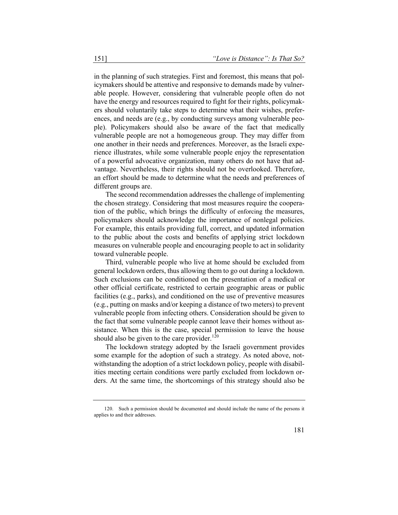in the planning of such strategies. First and foremost, this means that policymakers should be attentive and responsive to demands made by vulnerable people. However, considering that vulnerable people often do not have the energy and resources required to fight for their rights, policymakers should voluntarily take steps to determine what their wishes, preferences, and needs are (e.g., by conducting surveys among vulnerable people). Policymakers should also be aware of the fact that medically vulnerable people are not a homogeneous group. They may differ from one another in their needs and preferences. Moreover, as the Israeli experience illustrates, while some vulnerable people enjoy the representation of a powerful advocative organization, many others do not have that advantage. Nevertheless, their rights should not be overlooked. Therefore, an effort should be made to determine what the needs and preferences of different groups are.

The second recommendation addresses the challenge of implementing the chosen strategy. Considering that most measures require the cooperation of the public, which brings the difficulty of enforcing the measures, policymakers should acknowledge the importance of nonlegal policies. For example, this entails providing full, correct, and updated information to the public about the costs and benefits of applying strict lockdown measures on vulnerable people and encouraging people to act in solidarity toward vulnerable people.

Third, vulnerable people who live at home should be excluded from general lockdown orders, thus allowing them to go out during a lockdown. Such exclusions can be conditioned on the presentation of a medical or other official certificate, restricted to certain geographic areas or public facilities (e.g., parks), and conditioned on the use of preventive measures (e.g., putting on masks and/or keeping a distance of two meters) to prevent vulnerable people from infecting others. Consideration should be given to the fact that some vulnerable people cannot leave their homes without assistance. When this is the case, special permission to leave the house should also be given to the care provider. $120$ 

The lockdown strategy adopted by the Israeli government provides some example for the adoption of such a strategy. As noted above, notwithstanding the adoption of a strict lockdown policy, people with disabilities meeting certain conditions were partly excluded from lockdown orders. At the same time, the shortcomings of this strategy should also be

<sup>120.</sup> Such a permission should be documented and should include the name of the persons it applies to and their addresses.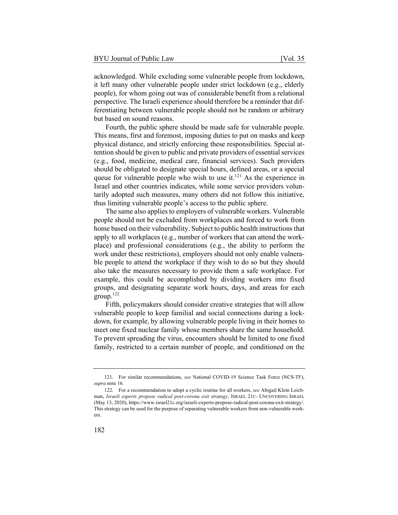acknowledged. While excluding some vulnerable people from lockdown, it left many other vulnerable people under strict lockdown (e.g., elderly people), for whom going out was of considerable benefit from a relational perspective. The Israeli experience should therefore be a reminder that differentiating between vulnerable people should not be random or arbitrary but based on sound reasons.

Fourth, the public sphere should be made safe for vulnerable people. This means, first and foremost, imposing duties to put on masks and keep physical distance, and strictly enforcing these responsibilities. Special attention should be given to public and private providers of essential services (e.g., food, medicine, medical care, financial services). Such providers should be obligated to designate special hours, defined areas, or a special queue for vulnerable people who wish to use it.<sup>121</sup> As the experience in Israel and other countries indicates, while some service providers voluntarily adopted such measures, many others did not follow this initiative, thus limiting vulnerable people's access to the public sphere.

The same also applies to employers of vulnerable workers. Vulnerable people should not be excluded from workplaces and forced to work from home based on their vulnerability. Subject to public health instructions that apply to all workplaces (e.g., number of workers that can attend the workplace) and professional considerations (e.g., the ability to perform the work under these restrictions), employers should not only enable vulnerable people to attend the workplace if they wish to do so but they should also take the measures necessary to provide them a safe workplace. For example, this could be accomplished by dividing workers into fixed groups, and designating separate work hours, days, and areas for each group.122

Fifth, policymakers should consider creative strategies that will allow vulnerable people to keep familial and social connections during a lockdown, for example, by allowing vulnerable people living in their homes to meet one fixed nuclear family whose members share the same household. To prevent spreading the virus, encounters should be limited to one fixed family, restricted to a certain number of people, and conditioned on the

<sup>121.</sup> For similar recommendations, *see* National COVID-19 Science Task Force (NCS-TF), *supra* note 16.

<sup>122.</sup> For a recommendation to adopt a cyclic routine for all workers, *see* Abigail Klein Leichman, *Israeli experts propose radical post-corona exit strategy*, ISRAEL 21C- UNCOVERING ISRAEL (May 13, 2020), https://www.israel21c.org/israeli-experts-propose-radical-post-corona-exit-strategy/. This strategy can be used for the purpose of separating vulnerable workers from non-vulnerable workers.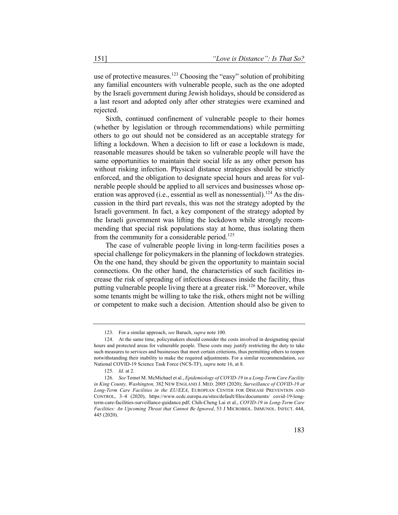use of protective measures.<sup>123</sup> Choosing the "easy" solution of prohibiting any familial encounters with vulnerable people, such as the one adopted by the Israeli government during Jewish holidays, should be considered as a last resort and adopted only after other strategies were examined and rejected.

Sixth, continued confinement of vulnerable people to their homes (whether by legislation or through recommendations) while permitting others to go out should not be considered as an acceptable strategy for lifting a lockdown. When a decision to lift or ease a lockdown is made, reasonable measures should be taken so vulnerable people will have the same opportunities to maintain their social life as any other person has without risking infection. Physical distance strategies should be strictly enforced, and the obligation to designate special hours and areas for vulnerable people should be applied to all services and businesses whose operation was approved (i.e., essential as well as nonessential).<sup>124</sup> As the discussion in the third part reveals, this was not the strategy adopted by the Israeli government. In fact, a key component of the strategy adopted by the Israeli government was lifting the lockdown while strongly recommending that special risk populations stay at home, thus isolating them from the community for a considerable period.<sup>125</sup>

The case of vulnerable people living in long-term facilities poses a special challenge for policymakers in the planning of lockdown strategies. On the one hand, they should be given the opportunity to maintain social connections. On the other hand, the characteristics of such facilities increase the risk of spreading of infectious diseases inside the facility, thus putting vulnerable people living there at a greater risk.<sup>126</sup> Moreover, while some tenants might be willing to take the risk, others might not be willing or competent to make such a decision. Attention should also be given to

<sup>123.</sup> For a similar approach, *see* Baruch, *supra* note 100.

<sup>124.</sup> At the same time, policymakers should consider the costs involved in designating special hours and protected areas for vulnerable people. These costs may justify restricting the duty to take such measures to services and businesses that meet certain criterions, thus permitting others to reopen notwithstanding their inability to make the required adjustments. For a similar recommendation, *see* National COVID-19 Science Task Force (NCS-TF), *supra* note 16, at 8.

<sup>125.</sup> *Id.* at 2.

<sup>126.</sup> *See* Temet M. McMichael et al., *Epidemiology of COVID-19 in a Long-Term Care Facility in King County, Washington,* 382 NEW ENGLAND J. MED. 2005 (2020); *Surveillance of COVID-19 at Long-Term Care Facilities in the EU/EEA*, EUROPEAN CENTER FOR DISEASE PREVENTION AND CONTROL, 3–4 (2020), https://www.ecdc.europa.eu/sites/default/files/documents/ covid-19-longterm-care-facilities-surveillance-guidance.pdf; Chih-Cheng Lai et al., *COVID-19 in Long-Term Care Facilities: An Upcoming Threat that Cannot Be Ignored*, 53 J MICROBIOL. IMMUNOL. INFECT. 444, 445 (2020).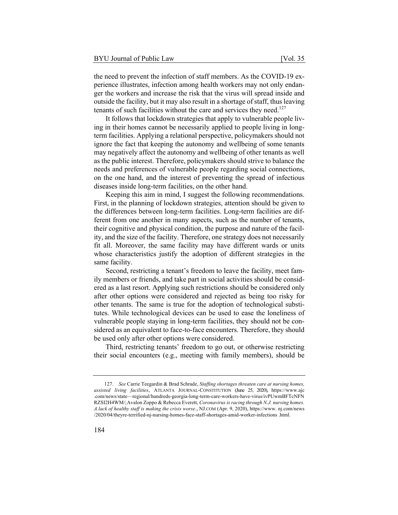the need to prevent the infection of staff members. As the COVID-19 experience illustrates, infection among health workers may not only endanger the workers and increase the risk that the virus will spread inside and outside the facility, but it may also result in a shortage of staff, thus leaving tenants of such facilities without the care and services they need.<sup>127</sup>

It follows that lockdown strategies that apply to vulnerable people living in their homes cannot be necessarily applied to people living in longterm facilities. Applying a relational perspective, policymakers should not ignore the fact that keeping the autonomy and wellbeing of some tenants may negatively affect the autonomy and wellbeing of other tenants as well as the public interest. Therefore, policymakers should strive to balance the needs and preferences of vulnerable people regarding social connections, on the one hand, and the interest of preventing the spread of infectious diseases inside long-term facilities, on the other hand.

Keeping this aim in mind, I suggest the following recommendations. First, in the planning of lockdown strategies, attention should be given to the differences between long-term facilities. Long-term facilities are different from one another in many aspects, such as the number of tenants, their cognitive and physical condition, the purpose and nature of the facility, and the size of the facility. Therefore, one strategy does not necessarily fit all. Moreover, the same facility may have different wards or units whose characteristics justify the adoption of different strategies in the same facility.

Second, restricting a tenant's freedom to leave the facility, meet family members or friends, and take part in social activities should be considered as a last resort. Applying such restrictions should be considered only after other options were considered and rejected as being too risky for other tenants. The same is true for the adoption of technological substitutes. While technological devices can be used to ease the loneliness of vulnerable people staying in long-term facilities, they should not be considered as an equivalent to face-to-face encounters. Therefore, they should be used only after other options were considered.

Third, restricting tenants' freedom to go out, or otherwise restricting their social encounters (e.g., meeting with family members), should be

<sup>127</sup>. *See* Carrie Teegardin & Brad Schrade, *Staffing shortages threaten care at nursing homes, assisted living facilities*, ATLANTA JOURNAL-CONSTITUTION (June 25, 2020), https://www.ajc .com/news/state—regional/hundreds-georgia-long-term-care-workers-have-virus/ivPUwmBFTcNFN RZSI2H4WM/; Avalon Zoppo & Rebecca Everett, *Coronavirus is racing through N.J. nursing homes. A lack of healthy staff is making the crisis worse.*, NJ.COM (Apr. 9, 2020), https://www. nj.com/news /2020/04/theyre-terrified-nj-nursing-homes-face-staff-shortages-amid-worker-infections .html.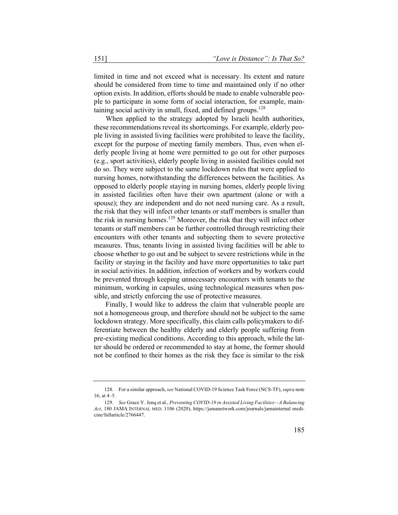limited in time and not exceed what is necessary. Its extent and nature should be considered from time to time and maintained only if no other option exists. In addition, efforts should be made to enable vulnerable people to participate in some form of social interaction, for example, maintaining social activity in small, fixed, and defined groups.<sup>128</sup>

When applied to the strategy adopted by Israeli health authorities, these recommendations reveal its shortcomings. For example, elderly people living in assisted living facilities were prohibited to leave the facility, except for the purpose of meeting family members. Thus, even when elderly people living at home were permitted to go out for other purposes (e.g., sport activities), elderly people living in assisted facilities could not do so. They were subject to the same lockdown rules that were applied to nursing homes, notwithstanding the differences between the facilities. As opposed to elderly people staying in nursing homes, elderly people living in assisted facilities often have their own apartment (alone or with a spouse); they are independent and do not need nursing care. As a result, the risk that they will infect other tenants or staff members is smaller than the risk in nursing homes.<sup>129</sup> Moreover, the risk that they will infect other tenants or staff members can be further controlled through restricting their encounters with other tenants and subjecting them to severe protective measures. Thus, tenants living in assisted living facilities will be able to choose whether to go out and be subject to severe restrictions while in the facility or staying in the facility and have more opportunities to take part in social activities. In addition, infection of workers and by workers could be prevented through keeping unnecessary encounters with tenants to the minimum, working in capsules, using technological measures when possible, and strictly enforcing the use of protective measures.

Finally, I would like to address the claim that vulnerable people are not a homogeneous group, and therefore should not be subject to the same lockdown strategy. More specifically, this claim calls policymakers to differentiate between the healthy elderly and elderly people suffering from pre-existing medical conditions. According to this approach, while the latter should be ordered or recommended to stay at home, the former should not be confined to their homes as the risk they face is similar to the risk

<sup>128.</sup> For a similar approach, *see* National COVID-19 Science Task Force (NCS-TF), *supra* note 16, at 4–5.

<sup>129.</sup> *See* Grace Y. Jenq et al., *Preventing COVID-19 in Assisted Living Facilities—A Balancing Act*, 180 JAMA INTERNAL MED. 1106 (2020), https://jamanetwork.com/journals/jamainternal medicine/fullarticle/2766447.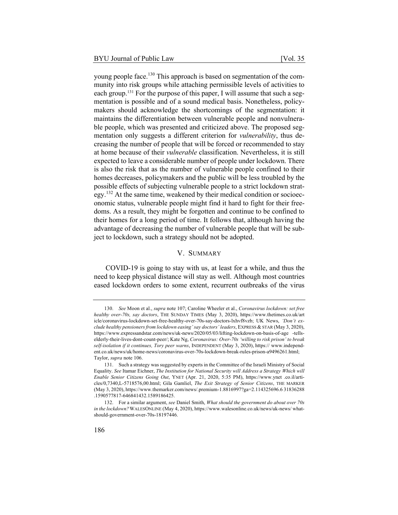young people face.<sup>130</sup> This approach is based on segmentation of the community into risk groups while attaching permissible levels of activities to each group.<sup>131</sup> For the purpose of this paper, I will assume that such a segmentation is possible and of a sound medical basis. Nonetheless, policymakers should acknowledge the shortcomings of the segmentation: it maintains the differentiation between vulnerable people and nonvulnerable people, which was presented and criticized above. The proposed segmentation only suggests a different criterion for *vulnerability*, thus decreasing the number of people that will be forced or recommended to stay at home because of their *vulnerable* classification. Nevertheless, it is still expected to leave a considerable number of people under lockdown. There is also the risk that as the number of vulnerable people confined to their homes decreases, policymakers and the public will be less troubled by the possible effects of subjecting vulnerable people to a strict lockdown strategy.<sup>132</sup> At the same time, weakened by their medical condition or socioeconomic status, vulnerable people might find it hard to fight for their freedoms. As a result, they might be forgotten and continue to be confined to their homes for a long period of time. It follows that, although having the advantage of decreasing the number of vulnerable people that will be subject to lockdown, such a strategy should not be adopted.

# V. SUMMARY

COVID-19 is going to stay with us, at least for a while, and thus the need to keep physical distance will stay as well. Although most countries eased lockdown orders to some extent, recurrent outbreaks of the virus

<sup>130.</sup> *See* Moon et al., *supra* note 107; Caroline Wheeler et al., *Coronavirus lockdown: set free healthy over-70s, say doctors*, THE SUNDAY TIMES (May 3, 2020), https://www.thetimes.co.uk/art icle/coronavirus-lockdown-set-free-healthy-over-70s-say-doctors-lxhvf8vzb; UK News, *'Don't exclude healthy pensioners from lockdown easing' say doctors' leaders*, EXPRESS & STAR (May 3, 2020), https://www.expressandstar.com/news/uk-news/2020/05/03/lifting-lockdown-on-basis-of-age -tellselderly-their-lives-dont-count-peer/; Kate Ng, *Coronavirus: Over-70s 'willing to risk prison' to break self-isolation if it continues, Tory peer warns*, INDEPENDENT (May 3, 2020), https:// www.independent.co.uk/news/uk/home-news/coronavirus-over-70s-lockdown-break-rules-prison-a9496261.html; Taylor, *supra* note 106.

<sup>131.</sup> Such a strategy was suggested by experts in the Committee of the Israeli Ministry of Social Equality. *See* Itamar Eichner, *The Institution for National Security will Address a Strategy Which will Enable Senior Citizens Going Out*, YNET (Apr. 21, 2020, 5:35 PM), https://www.ynet .co.il/articles/0,7340,L-5718576,00.html; Gila Gamliel, *The Exit Strategy of Senior Citizens*, THE MARKER (May 3, 2020), https://www.themarker.com/news/.premium-1.8816997?ga=2.114325696.6 31836288 .1590577817-646841432.1589186425.

<sup>132.</sup> For a similar argument, *see* Daniel Smith, *What should the government do about over 70s in the lockdown?* WALESONLINE (May 4, 2020), https://www.walesonline.co.uk/news/uk-news/ whatshould-government-over-70s-18197446.